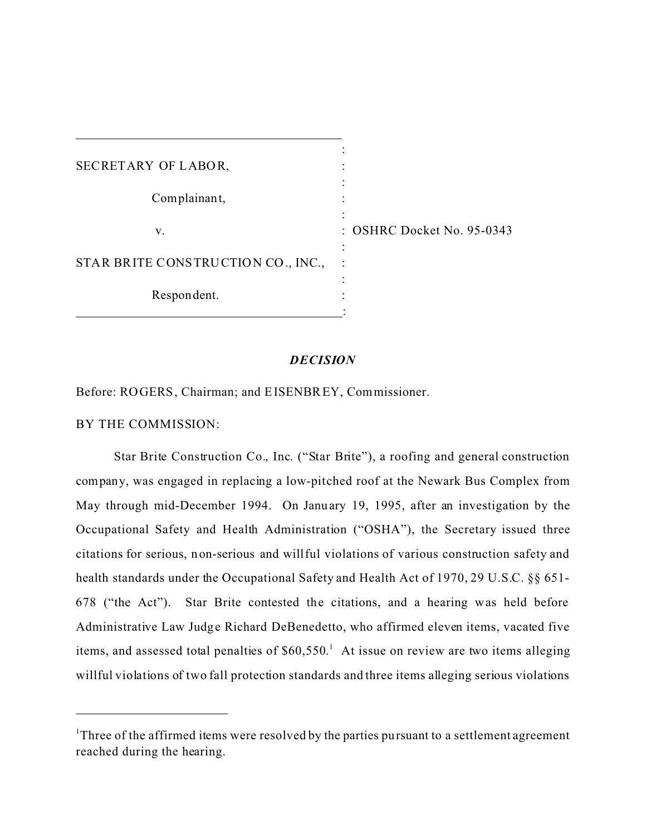| SECRETARY OF LABOR,                |                              |
|------------------------------------|------------------------------|
| Complainant,                       |                              |
| v.                                 | $:$ OSHRC Docket No. 95-0343 |
| STAR BRITE CONSTRUCTION CO., INC., |                              |
| Respondent.                        |                              |

## *DECISION*

Before: ROGERS, Chairman; and EISENBREY, Commissioner.

BY THE COMMISSION:

Star Brite Construction Co., Inc. ("Star Brite"), a roofing and general construction company, was engaged in replacing a low-pitched roof at the Newark Bus Complex from May through mid-December 1994. On Janu ary 19, 1995, after an investigation by the Occupational Safety and Health Administration ("OSHA"), the Secretary issued three citations for serious, non-serious and willful violations of various construction safety and health standards under the Occupational Safety and Health Act of 1970, 29 U.S.C. §§ 651- 678 ("the Act"). Star Brite contested the citations, and a hearing was held before Administrative Law Judge Richard DeBenedetto, who affirmed eleven items, vacated five items, and assessed total penalties of \$60,550. 1 At issue on review are two items alleging willful violations of two fall protection standards and three items alleging serious violations

<sup>&</sup>lt;sup>1</sup>Three of the affirmed items were resolved by the parties pursuant to a settlement agreement reached during the hearing.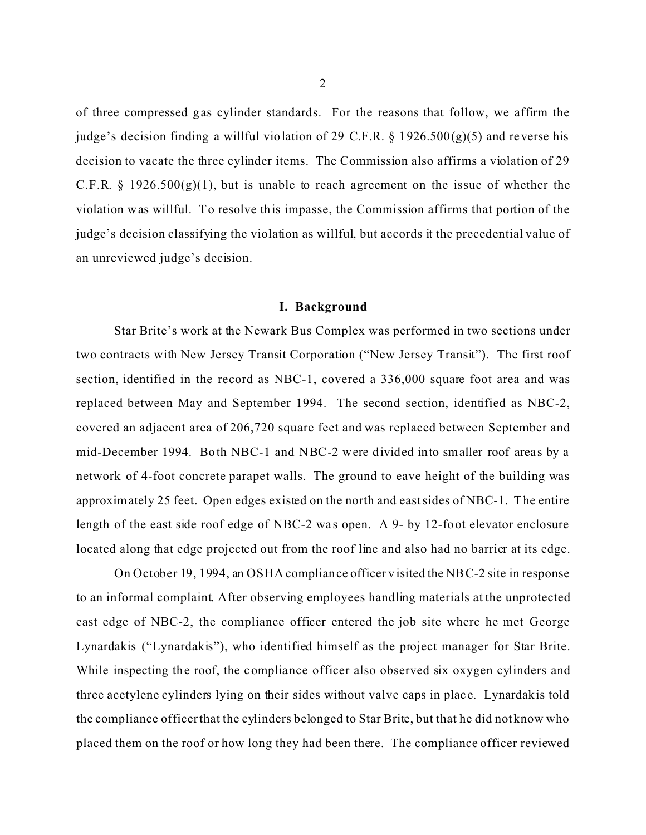of three compressed gas cylinder standards. For the reasons that follow, we affirm the judge's decision finding a willful violation of 29 C.F.R.  $\S$  1926.500(g)(5) and reverse his decision to vacate the three cylinder items. The Commission also affirms a violation of 29 C.F.R. § 1926.500 $(g)(1)$ , but is unable to reach agreement on the issue of whether the violation was willful. To resolve this impasse, the Commission affirms that portion of the judge's decision classifying the violation as willful, but accords it the precedential value of an unreviewed judge's decision.

#### **I. Background**

Star Brite's work at the Newark Bus Complex was performed in two sections under two contracts with New Jersey Transit Corporation ("New Jersey Transit"). The first roof section, identified in the record as NBC-1, covered a 336,000 square foot area and was replaced between May and September 1994. The second section, identified as NBC-2, covered an adjacent area of 206,720 square feet and was replaced between September and mid-December 1994. Both NBC-1 and NBC-2 were divided into smaller roof areas by a network of 4-foot concrete parapet walls. The ground to eave height of the building was approximately 25 feet. Open edges existed on the north and east sides of NBC-1. The entire length of the east side roof edge of NBC-2 was open. A 9- by 12-foot elevator enclosure located along that edge projected out from the roof line and also had no barrier at its edge.

On October 19, 1994, an OSHA compliance officer visited the NBC-2 site in response to an informal complaint. After observing employees handling materials at the unprotected east edge of NBC-2, the compliance officer entered the job site where he met George Lynardakis ("Lynardakis"), who identified himself as the project manager for Star Brite. While inspecting the roof, the compliance officer also observed six oxygen cylinders and three acetylene cylinders lying on their sides without valve caps in plac e. Lynardakis told the compliance officer that the cylinders belonged to Star Brite, but that he did not know who placed them on the roof or how long they had been there. The compliance officer reviewed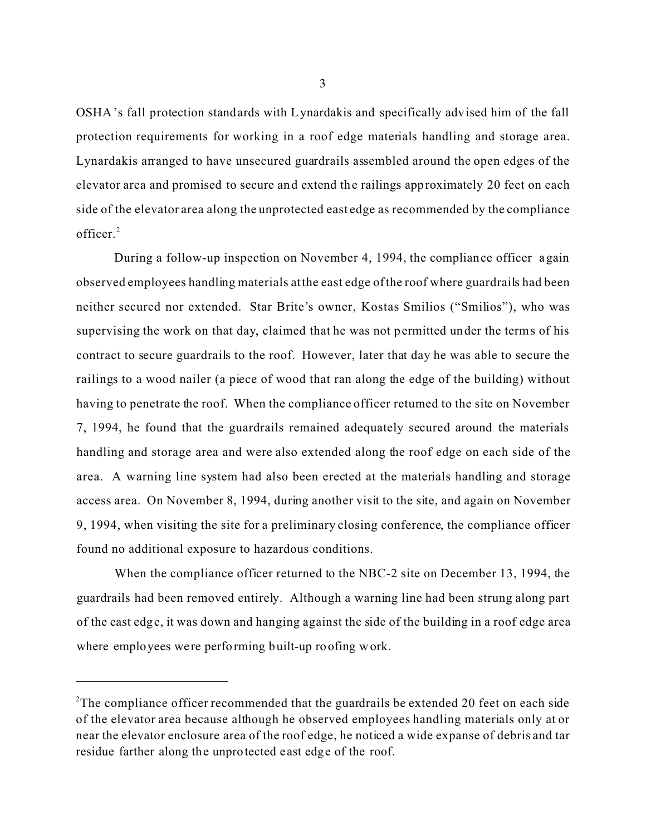OSHA's fall protection standards with Lynardakis and specifically advised him of the fall protection requirements for working in a roof edge materials handling and storage area. Lynardakis arranged to have unsecured guardrails assembled around the open edges of the elevator area and promised to secure and extend the railings approximately 20 feet on each side of the elevator area along the unprotected east edge as recommended by the compliance officer.<sup>2</sup>

During a follow-up inspection on November 4, 1994, the compliance officer again observed employees handling materials at the east edge of the roof where guardrails had been neither secured nor extended. Star Brite's owner, Kostas Smilios ("Smilios"), who was supervising the work on that day, claimed that he was not permitted under the terms of his contract to secure guardrails to the roof. However, later that day he was able to secure the railings to a wood nailer (a piece of wood that ran along the edge of the building) without having to penetrate the roof. When the compliance officer returned to the site on November 7, 1994, he found that the guardrails remained adequately secured around the materials handling and storage area and were also extended along the roof edge on each side of the area. A warning line system had also been erected at the materials handling and storage access area. On November 8, 1994, during another visit to the site, and again on November 9, 1994, when visiting the site for a preliminary closing conference, the compliance officer found no additional exposure to hazardous conditions.

When the compliance officer returned to the NBC-2 site on December 13, 1994, the guardrails had been removed entirely. Although a warning line had been strung along part of the east edge, it was down and hanging against the side of the building in a roof edge area where employees were performing built-up roofing work.

<sup>&</sup>lt;sup>2</sup>The compliance officer recommended that the guardrails be extended 20 feet on each side of the elevator area because although he observed employees handling materials only at or near the elevator enclosure area of the roof edge, he noticed a wide expanse of debris and tar residue farther along the unprotected east edge of the roof.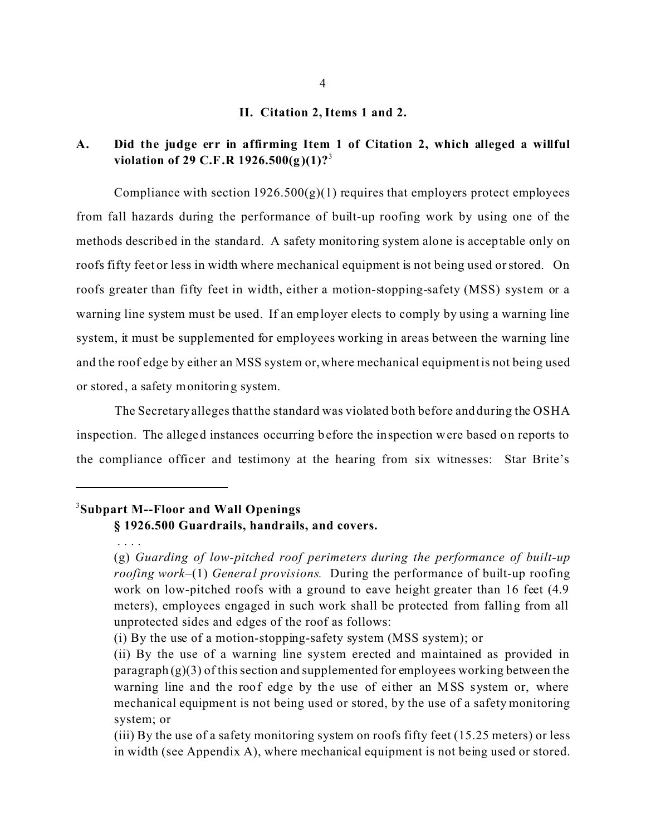### **II. Citation 2, Items 1 and 2.**

## **A.� Did the judge err in affirming Item 1 of Citation 2, which alleged a willful violation of 29 C.F.R 1926.500(g)(1)?**<sup>3</sup>

Compliance with section  $1926.500(g)(1)$  requires that employers protect employees from fall hazards during the performance of built-up roofing work by using one of the methods described in the standard. A safety monitoring system alone is acceptable only on roofs fifty feet or less in width where mechanical equipment is not being used or stored. On roofs greater than fifty feet in width, either a motion-stopping-safety (MSS) system or a warning line system must be used. If an employer elects to comply by using a warning line system, it must be supplemented for employees working in areas between the warning line and the roof edge by either an MSS system or, where mechanical equipment is not being used or stored, a safety monitoring system.

The Secretary alleges that the standard was violated both before and during the OSHA inspection. The alleged instances occurring before the inspection were based on reports to the compliance officer and testimony at the hearing from six witnesses: Star Brite's

## 3 **Subpart M--Floor and Wall Openings**

## **§ 1926.500 Guardrails, handrails, and covers.**

<sup>. . . .</sup> 

<sup>(</sup>g) *Guarding of low-pitched roof perimeters during the performance of built-up roofing work*–(1) *General provisions.* During the performance of built-up roofing work on low-pitched roofs with a ground to eave height greater than 16 feet (4.9 meters), employees engaged in such work shall be protected from falling from all unprotected sides and edges of the roof as follows:

<sup>(</sup>i) By the use of a motion-stopping-safety system (MSS system); or

<sup>(</sup>ii) By the use of a warning line system erected and maintained as provided in paragraph  $(g)(3)$  of this section and supplemented for employees working between the warning line and the roof edge by the use of either an MSS system or, where mechanical equipment is not being used or stored, by the use of a safety monitoring system; or

<sup>(</sup>iii) By the use of a safety monitoring system on roofs fifty feet (15.25 meters) or less in width (see Appendix A), where mechanical equipment is not being used or stored.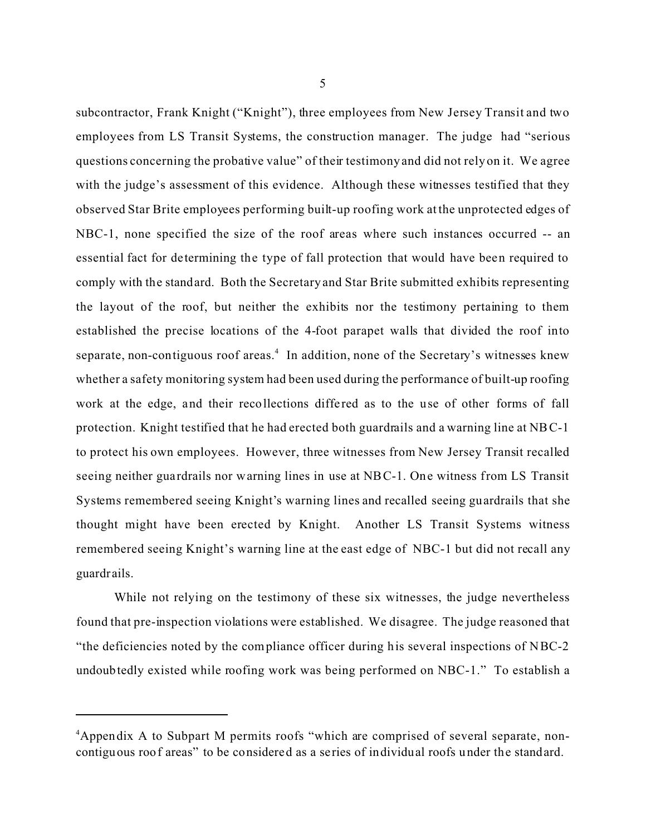subcontractor, Frank Knight ("Knight"), three employees from New Jersey Transit and two employees from LS Transit Systems, the construction manager. The judge had "serious questions concerning the probative value" of their testimony and did not rely on it. We agree with the judge's assessment of this evidence. Although these witnesses testified that they observed Star Brite employees performing built-up roofing work at the unprotected edges of NBC-1, none specified the size of the roof areas where such instances occurred -- an essential fact for de termining the type of fall protection that would have been required to comply with the standard. Both the Secretary and Star Brite submitted exhibits representing the layout of the roof, but neither the exhibits nor the testimony pertaining to them established the precise locations of the 4-foot parapet walls that divided the roof into separate, non-contiguous roof areas.<sup>4</sup> In addition, none of the Secretary's witnesses knew whether a safety monitoring system had been used during the performance of built-up roofing work at the edge, and their recollections diffe red as to the use of other forms of fall protection. Knight testified that he had erected both guardrails and a warning line at NB C-1 to protect his own employees. However, three witnesses from New Jersey Transit recalled seeing neither guardrails nor warning lines in use at NBC-1. One witness from LS Transit Systems remembered seeing Knight's warning lines and recalled seeing guardrails that she thought might have been erected by Knight. Another LS Transit Systems witness remembered seeing Knight's warning line at the east edge of NBC-1 but did not recall any guardrails.

While not relying on the testimony of these six witnesses, the judge nevertheless found that pre-inspection violations were established. We disagree. The judge reasoned that "the deficiencies noted by the compliance officer during his several inspections of NBC-2 undoubtedly existed while roofing work was being performed on NBC-1." To establish a

<sup>&</sup>lt;sup>4</sup>Appendix A to Subpart M permits roofs "which are comprised of several separate, noncontiguous roof areas" to be considered as a series of individual roofs under the standard.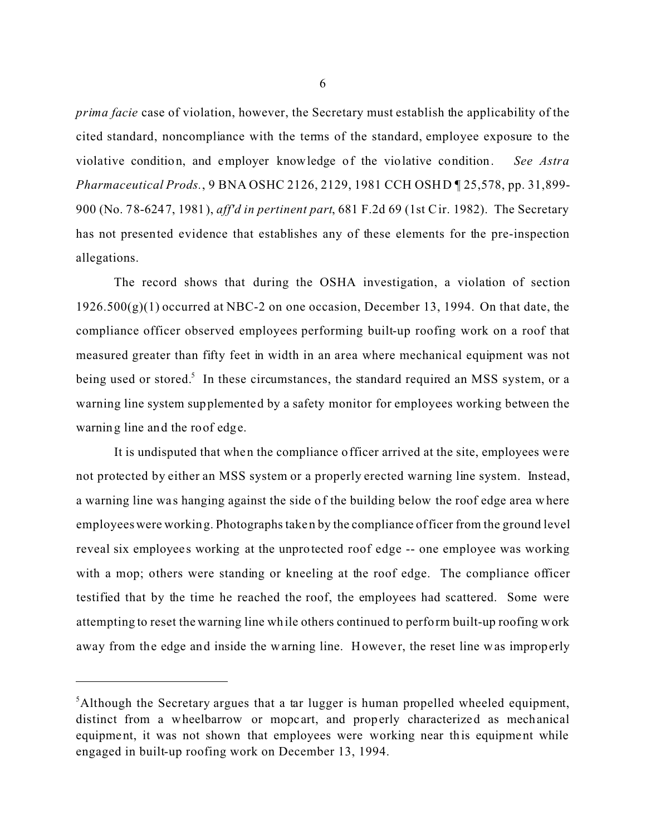*prima facie* case of violation, however, the Secretary must establish the applicability of the cited standard, noncompliance with the terms of the standard, employee exposure to the violative condition, and employer knowledge of the violative condition. *See Astra Pharmaceutical Prods.*, 9 BNA OSHC 2126, 2129, 1981 CCH OSHD ¶ 25,578, pp. 31,899- 900 (No. 78-6247, 1981), *aff'd in pertinent part*, 681 F.2d 69 (1st Cir. 1982). The Secretary has not presented evidence that establishes any of these elements for the pre-inspection allegations.

The record shows that during the OSHA investigation, a violation of section  $1926.500(g)(1)$  occurred at NBC-2 on one occasion, December 13, 1994. On that date, the compliance officer observed employees performing built-up roofing work on a roof that measured greater than fifty feet in width in an area where mechanical equipment was not being used or stored.<sup>5</sup> In these circumstances, the standard required an MSS system, or a warning line system supplemented by a safety monitor for employees working between the warning line and the roof edge.

It is undisputed that when the compliance officer arrived at the site, employees we re not protected by either an MSS system or a properly erected warning line system. Instead, a warning line was hanging against the side of the building below the roof edge area where employees were working. Photographs taken by the compliance officer from the ground level reveal six employees working at the unprotected roof edge -- one employee was working with a mop; others were standing or kneeling at the roof edge. The compliance officer testified that by the time he reached the roof, the employees had scattered. Some were attempting to reset the warning line while others continued to perform built-up roofing work away from the edge and inside the warning line. However, the reset line was improperly

<sup>&</sup>lt;sup>5</sup>Although the Secretary argues that a tar lugger is human propelled wheeled equipment, distinct from a wheelbarrow or mopcart, and properly characterized as mechanical equipment, it was not shown that employees were working near this equipment while engaged in built-up roofing work on December 13, 1994.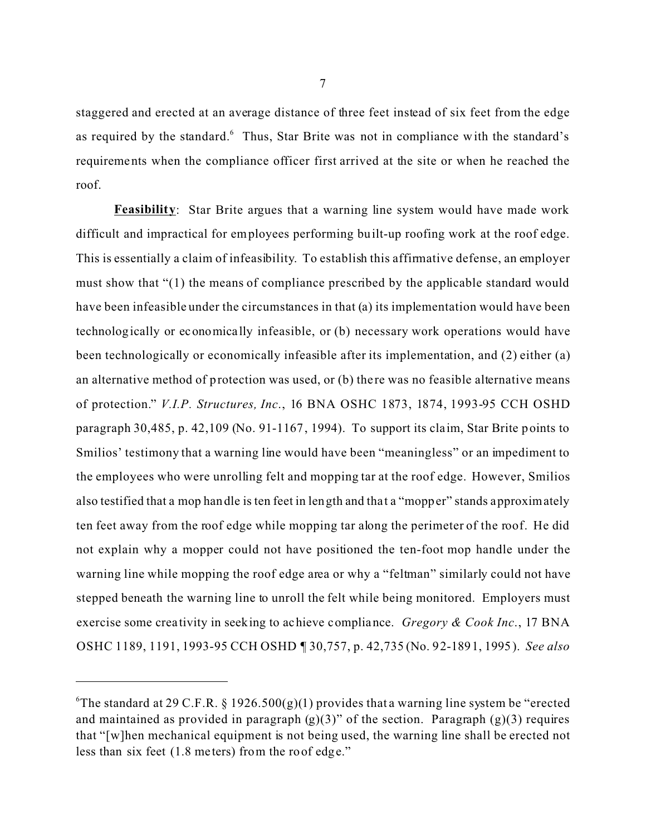staggered and erected at an average distance of three feet instead of six feet from the edge as required by the standard.<sup>6</sup> Thus, Star Brite was not in compliance with the standard's requirements when the compliance officer first arrived at the site or when he reached the roof.

**Feasibility:** Star Brite argues that a warning line system would have made work difficult and impractical for employees performing built-up roofing work at the roof edge. This is essentially a claim of infeasibility. To establish this affirmative defense, an employer must show that "(1) the means of compliance prescribed by the applicable standard would have been infeasible under the circumstances in that (a) its implementation would have been technologically or economica lly infeasible, or (b) necessary work operations would have been technologically or economically infeasible after its implementation, and (2) either (a) an alternative method of protection was used, or (b) there was no feasible alternative means of protection." *V.I.P. Structures, Inc*., 16 BNA OSHC 1873, 1874, 1993-95 CCH OSHD paragraph 30,485, p. 42,109 (No. 91-1167, 1994). To support its claim, Star Brite points to Smilios' testimony that a warning line would have been "meaningless" or an impediment to the employees who were unrolling felt and mopping tar at the roof edge. However, Smilios also testified that a mop handle is ten feet in length and that a "mopper" stands approximately ten feet away from the roof edge while mopping tar along the perimeter of the roof. He did not explain why a mopper could not have positioned the ten-foot mop handle under the warning line while mopping the roof edge area or why a "feltman" similarly could not have stepped beneath the warning line to unroll the felt while being monitored. Employers must exercise some crea tivity in seeking to achieve compliance. *Gregory & Cook Inc*., 17 BNA OSHC 1189, 1191, 1993-95 CCH OSHD ¶ 30,757, p. 42,735 (No. 92-1891, 1995). *See also* 

<sup>&</sup>lt;sup>6</sup>The standard at 29 C.F.R. § 1926.500(g)(1) provides that a warning line system be "erected and maintained as provided in paragraph  $(g)(3)$ " of the section. Paragraph  $(g)(3)$  requires that "[w]hen mechanical equipment is not being used, the warning line shall be erected not less than six feet (1.8 me ters) from the roof edge."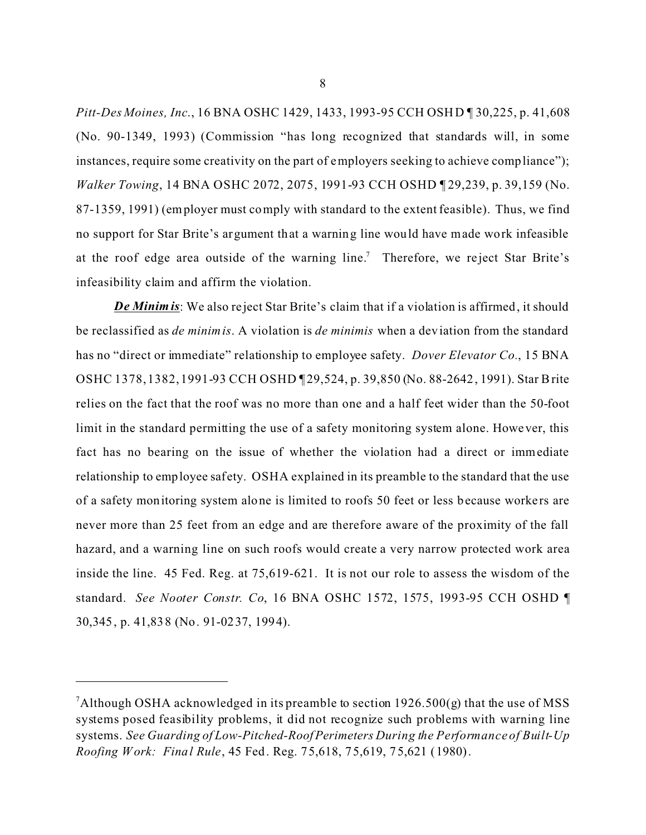*Pitt-Des Moines, Inc*., 16 BNA OSHC 1429, 1433, 1993-95 CCH OSH D ¶ 30,225, p. 41,608 (No. 90-1349, 1993) (Commission "has long recognized that standards will, in some instances, require some creativity on the part of employers seeking to achieve compliance"); *Walker Towing*, 14 BNA OSHC 2072, 2075, 1991-93 CCH OSHD ¶ 29,239, p. 39,159 (No. 87-1359, 1991) (employer must comply with standard to the extent feasible). Thus, we find no support for Star Brite's argument that a warning line would have made work infeasible at the roof edge area outside of the warning line.<sup>7</sup> Therefore, we reject Star Brite's infeasibility claim and affirm the violation.

*De Minim is*: We also re ject Star Brite's claim that if a violation is affirmed, it should be reclassified as *de minimis*. A violation is *de minimis* when a deviation from the standard has no "direct or immediate" relationship to employee safety. *Dover Elevator Co.*, 15 BNA OSHC 1378, 1382, 1991-93 CCH OSHD [29,524, p. 39,850 (No. 88-2642, 1991). Star Brite relies on the fact that the roof was no more than one and a half feet wider than the 50-foot limit in the standard permitting the use of a safety monitoring system alone. However, this fact has no bearing on the issue of whether the violation had a direct or immediate relationship to employee safety. OSHA explained in its preamble to the standard that the use of a safety monitoring system alone is limited to roofs 50 feet or less because workers are never more than 25 feet from an edge and are therefore aware of the proximity of the fall hazard, and a warning line on such roofs would create a very narrow protected work area inside the line. 45 Fed. Reg. at 75,619-621. It is not our role to assess the wisdom of the standard. *See Nooter Constr. Co*, 16 BNA OSHC 1572, 1575, 1993-95 CCH OSHD ¶ 30,345, p. 41,838 (No. 91-0237, 1994).

<sup>&</sup>lt;sup>7</sup>Although OSHA acknowledged in its preamble to section  $1926.500(g)$  that the use of MSS systems posed feasibility problems, it did not recognize such problems with warning line systems. *See Guarding of Low-Pitched-Roof Perimeters During the Performance of Built-Up Roofing Work: Final Rule*, 45 Fed. Reg. 75,618, 75,619, 75,621 (1980).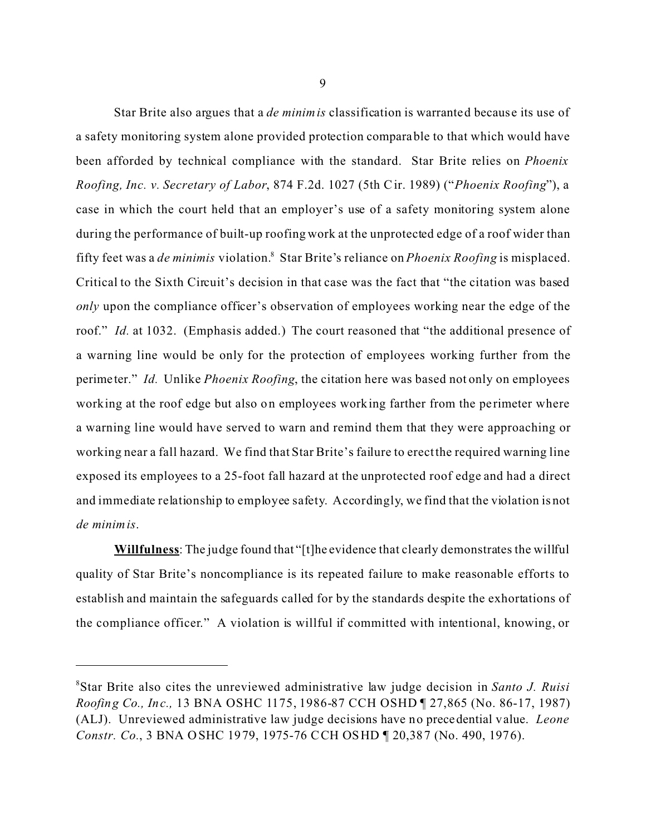Star Brite also argues that a *de minimis* classification is warranted because its use of a safety monitoring system alone provided protection comparable to that which would have been afforded by technical compliance with the standard. Star Brite relies on *Phoenix Roofing, Inc. v. Secretary of Labor*, 874 F.2d. 1027 (5th C ir. 1989) ("*Phoenix Roofing*"), a case in which the court held that an employer's use of a safety monitoring system alone during the performance of built-up roofing work at the unprotected edge of a roof wider than fifty feet was a *de minimis* violation.8 Star Brite's reliance on *Phoenix Roofing* is misplaced. Critical to the Sixth Circuit's decision in that case was the fact that "the citation was based *only* upon the compliance officer's observation of employees working near the edge of the roof." *Id.* at 1032. (Emphasis added.) The court reasoned that "the additional presence of a warning line would be only for the protection of employees working further from the perime ter." *Id.* Unlike *Phoenix Roofing*, the citation here was based not only on employees working at the roof edge but also on employees working farther from the perimeter where a warning line would have served to warn and remind them that they were approaching or working near a fall hazard. We find that Star Brite's failure to erect the required warning line exposed its employees to a 25-foot fall hazard at the unprotected roof edge and had a direct and immediate relationship to employee safety. Accordingly, we find that the violation is not *de minimis*.

**Willfulness**: The judge found that "[t]he evidence that clearly demonstrates the willful quality of Star Brite's noncompliance is its repeated failure to make reasonable efforts to establish and maintain the safeguards called for by the standards despite the exhortations of the compliance officer." A violation is willful if committed with intentional, knowing, or

<sup>8</sup> Star Brite also cites the unreviewed administrative law judge decision in *Santo J. Ruisi Roofing Co., Inc.,* 13 BNA OSHC 1175, 1986-87 CCH OSHD ¶ 27,865 (No. 86-17, 1987) (ALJ). Unreviewed administrative law judge decisions have no precedential value. *Leone Constr. Co.*, 3 BNA OSHC 1979, 1975-76 CCH OSHD ¶ 20,387 (No. 490, 1976).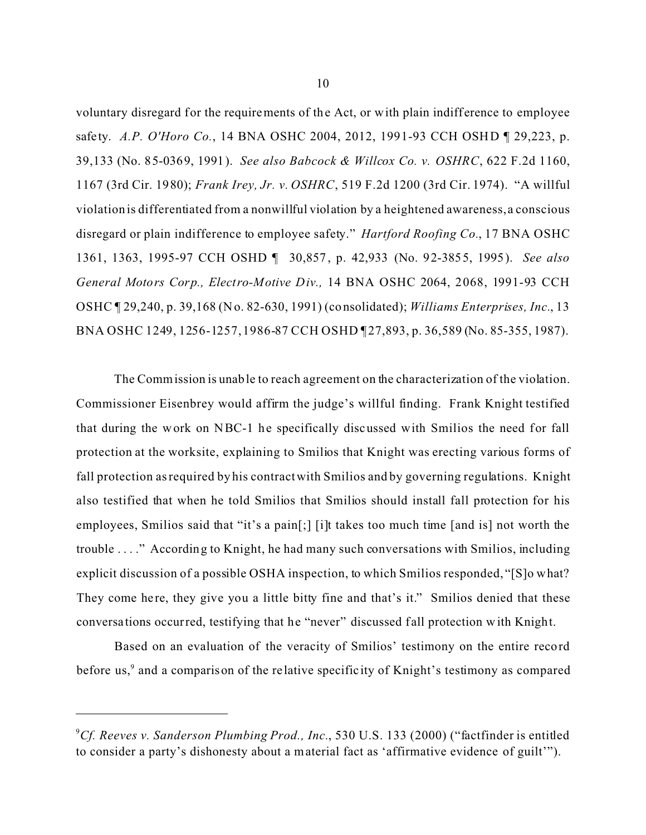voluntary disregard for the requirements of the Act, or with plain indifference to employee safety. *A.P. O'Horo Co.*, 14 BNA OSHC 2004, 2012, 1991-93 CCH OSHD ¶ 29,223, p. 39,133 (No. 85-0369, 1991). *See also Babcock & Willcox Co. v. OSHRC*, 622 F.2d 1160, 1167 (3rd Cir. 1980); *Frank Irey, Jr. v. OSHRC*, 519 F.2d 1200 (3rd Cir. 1974). "A willful violation is differentiated from a nonwillful violation by a heightened awareness, a conscious disregard or plain indifference to employee safety." *Hartford Roofing Co.*, 17 BNA OSHC 1361, 1363, 1995-97 CCH OSHD ¶ 30,857 , p. 42,933 (No. 92-3855, 1995). *See also General Motors Corp., Electro-Motive Div.,* 14 BNA OSHC 2064, 2068, 1991-93 CCH OSHC ¶ 29,240, p. 39,168 (No. 82-630, 1991) (consolidated); *Williams Enterprises, Inc.*, 13 BNA OSHC 1249, 1256-1257, 1986-87 CCH OSHD ¶ 27,893, p. 36,589 (No. 85-355, 1987).

The Commission is unable to reach agreement on the characterization of the violation. Commissioner Eisenbrey would affirm the judge's willful finding. Frank Knight testified that during the work on NBC-1 he specifically discussed with Smilios the need for fall protection at the worksite, explaining to Smilios that Knight was erecting various forms of fall protection as required by his contract with Smilios and by governing regulations. Knight also testified that when he told Smilios that Smilios should install fall protection for his employees, Smilios said that "it's a pain[;] [i]t takes too much time [and is] not worth the trouble . . . ." According to Knight, he had many such conversations with Smilios, including explicit discussion of a possible OSHA inspection, to which Smilios responded, "[S]o what? They come here, they give you a little bitty fine and that's it." Smilios denied that these conversations occurred, testifying that he "never" discussed f all protection with Knight.

Based on an evaluation of the veracity of Smilios' testimony on the entire record before us,<sup>9</sup> and a comparison of the relative specificity of Knight's testimony as compared

<sup>9</sup> *Cf. Reeves v. Sanderson Plumbing Prod., Inc.*, 530 U.S. 133 (2000) ("factfinder is entitled to consider a party's dishonesty about a material fact as 'affirmative evidence of guilt'").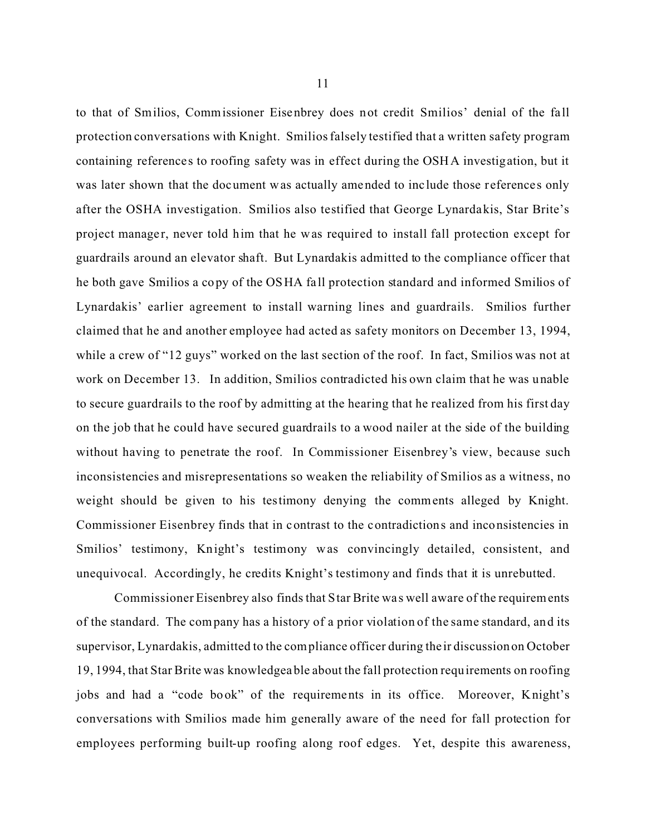to that of Smilios, Commissioner Eisenbrey does not credit Smilios' denial of the fa ll protection conversations with Knight. Smilios falsely testified that a written safety program containing reference s to roofing safety was in effect during the OSHA investigation, but it was later shown that the document was actually amended to inc lude those references only after the OSHA investigation. Smilios also testified that George Lynardakis, Star Brite's project manage r, never told him that he was required to install fall protection except for guardrails around an elevator shaft. But Lynardakis admitted to the compliance officer that he both gave Smilios a copy of the OSHA fa ll protection standard and informed Smilios of Lynardakis' earlier agreement to install warning lines and guardrails. Smilios further claimed that he and another employee had acted as safety monitors on December 13, 1994, while a crew of "12 guys" worked on the last section of the roof. In fact, Smilios was not at work on December 13. In addition, Smilios contradicted his own claim that he was unable to secure guardrails to the roof by admitting at the hearing that he realized from his first day on the job that he could have secured guardrails to a wood nailer at the side of the building without having to penetrate the roof. In Commissioner Eisenbrey's view, because such inconsistencies and misrepresentations so weaken the reliability of Smilios as a witness, no weight should be given to his testimony denying the comments alleged by Knight. Commissioner Eisenbrey finds that in contrast to the contradictions and inconsistencies in Smilios' testimony, Knight's testimony was convincingly detailed, consistent, and unequivocal. Accordingly, he credits Knight's testimony and finds that it is unrebutted.

Commissioner Eisenbrey also finds that Star Brite wa s well aware of the requirements of the standard. The company has a history of a prior violation of the same standard, and its supervisor, Lynardakis, admitted to the compliance officer during the ir discussionon October 19, 1994, that Star Brite was knowledgeable about the fall protection requirements on roofing jobs and had a "code book" of the requirements in its office. Moreover, Knight's conversations with Smilios made him generally aware of the need for fall protection for employees performing built-up roofing along roof edges. Yet, despite this awareness,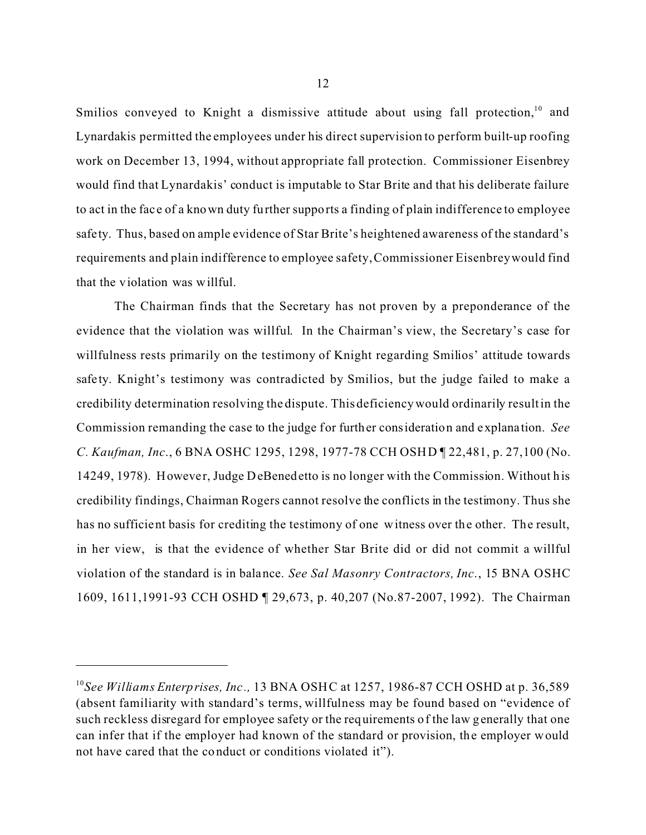Smilios conveyed to Knight a dismissive attitude about using fall protection,<sup>10</sup> and Lynardakis permitted the employees under his direct supervision to perform built-up roofing work on December 13, 1994, without appropriate fall protection. Commissioner Eisenbrey would find that Lynardakis' conduct is imputable to Star Brite and that his deliberate failure to act in the fac e of a known duty further supports a finding of plain indifference to employee safety. Thus, based on ample evidence of Star Brite's heightened awareness of the standard's requirements and plain indifference to employee safety, Commissioner Eisenbrey would find that the violation was willful.

The Chairman finds that the Secretary has not proven by a preponderance of the evidence that the violation was willful. In the Chairman's view, the Secretary's case for willfulness rests primarily on the testimony of Knight regarding Smilios' attitude towards safety. Knight's testimony was contradicted by Smilios, but the judge failed to make a credibility determination resolving the dispute. This deficiency would ordinarily result in the Commission remanding the case to the judge for further consideration and explana tion. *See C. Kaufman, Inc*., 6 BNA OSHC 1295, 1298, 1977-78 CCH OSHD ¶ 22,481, p. 27,100 (No. 14249, 1978). However, Judge DeBenedetto is no longer with the Commission. Without his credibility findings, Chairman Rogers cannot resolve the conflicts in the testimony. Thus she has no sufficient basis for crediting the testimony of one witness over the other. The result, in her view, is that the evidence of whether Star Brite did or did not commit a willful violation of the standard is in balance. *See Sal Masonry Contractors, Inc*., 15 BNA OSHC 1609, 1611,1991-93 CCH OSHD ¶ 29,673, p. 40,207 (No.87-2007, 1992). The Chairman

<sup>&</sup>lt;sup>10</sup>See Williams Enterprises, Inc., 13 BNA OSHC at 1257, 1986-87 CCH OSHD at p. 36,589 (absent familiarity with standard's terms, willfulness may be found based on "evidence of such reckless disregard for employee safety or the requirements of the law generally that one can infer that if the employer had known of the standard or provision, the employer would not have cared that the conduct or conditions violated it").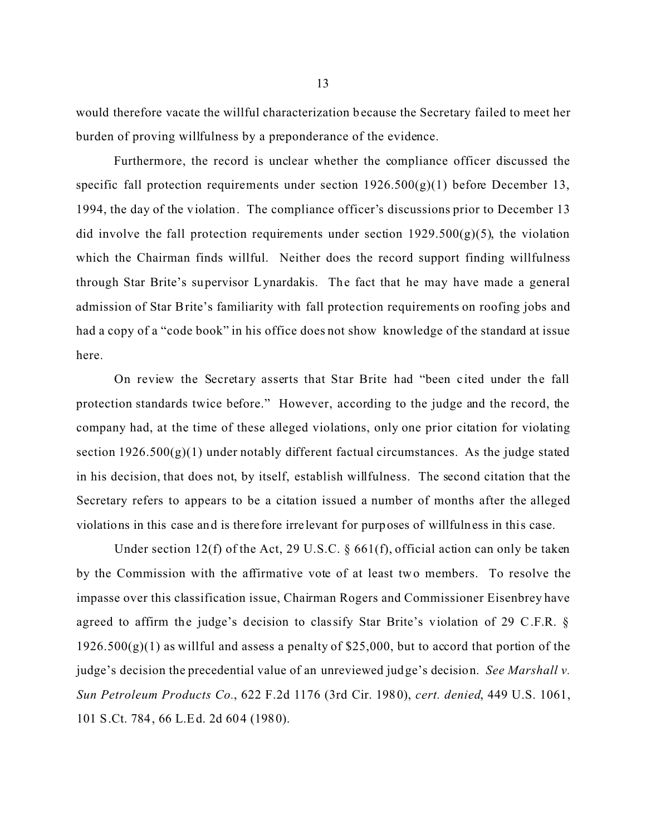would therefore vacate the willful characterization because the Secretary failed to meet her burden of proving willfulness by a preponderance of the evidence.

Furthermore, the record is unclear whether the compliance officer discussed the specific fall protection requirements under section  $1926.500(g)(1)$  before December 13, 1994, the day of the violation. The compliance officer's discussions prior to December 13 did involve the fall protection requirements under section  $1929.500(g)(5)$ , the violation which the Chairman finds willful. Neither does the record support finding willfulness through Star Brite's supervisor Lynardakis. The fact that he may have made a general admission of Star Brite's familiarity with fall protection requirements on roofing jobs and had a copy of a "code book" in his office does not show knowledge of the standard at issue here.

On review the Secretary asserts that Star Brite had "been c ited under the fall protection standards twice before." However, according to the judge and the record, the company had, at the time of these alleged violations, only one prior citation for violating section  $1926.500(g)(1)$  under notably different factual circumstances. As the judge stated in his decision, that does not, by itself, establish willfulness. The second citation that the Secretary refers to appears to be a citation issued a number of months after the alleged violations in this case and is there fore irre levant for purposes of willfulness in this case.

Under section 12(f) of the Act, 29 U.S.C. § 661(f), official action can only be taken by the Commission with the affirmative vote of at least two members. To resolve the impasse over this classification issue, Chairman Rogers and Commissioner Eisenbrey have agreed to affirm the judge's decision to classify Star Brite's violation of 29 C.F.R. §  $1926.500(g)(1)$  as willful and assess a penalty of \$25,000, but to accord that portion of the judge's decision the precedential value of an unreviewed judge's decision. *See Marshall v. Sun Petroleum Products Co.*, 622 F.2d 1176 (3rd Cir. 1980), *cert. denied*, 449 U.S. 1061, 101 S.Ct. 784, 66 L.Ed. 2d 604 (1980).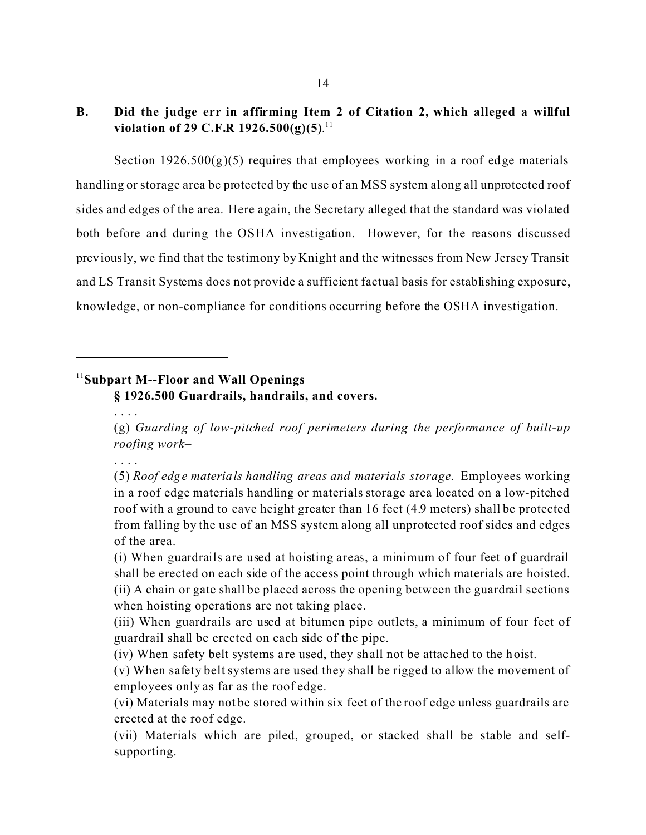# **B.� Did the judge err in affirming Item 2 of Citation 2, which alleged a willful violation of 29 C.F.R 1926.500(g)(5)**. 11

Section  $1926.500(g)(5)$  requires that employees working in a roof edge materials handling or storage area be protected by the use of an MSS system along all unprotected roof sides and edges of the area. Here again, the Secretary alleged that the standard was violated both before and during the OSHA investigation. However, for the reasons discussed previously, we find that the testimony by Knight and the witnesses from New Jersey Transit and LS Transit Systems does not provide a sufficient factual basis for establishing exposure, knowledge, or non-compliance for conditions occurring before the OSHA investigation.

## <sup>11</sup>**Subpart M--Floor and Wall Openings**

**§ 1926.500 Guardrails, handrails, and covers.** 

(g) *Guarding of low-pitched roof perimeters during the performance of built-up roofing work*–

. . . .

. . . .

(5) *Roof edge materials handling areas and materials storage*. Employees working in a roof edge materials handling or materials storage area located on a low-pitched roof with a ground to eave height greater than 16 feet (4.9 meters) shall be protected from falling by the use of an MSS system along all unprotected roof sides and edges of the area.

(i) When guardrails are used at hoisting areas, a minimum of four feet of guardrail shall be erected on each side of the access point through which materials are hoisted. (ii) A chain or gate shall be placed across the opening between the guardrail sections when hoisting operations are not taking place.

(iii) When guardrails are used at bitumen pipe outlets, a minimum of four feet of guardrail shall be erected on each side of the pipe.

(iv) When safety belt systems a re used, they shall not be attached to the hoist.

(v) When safety belt systems are used they shall be rigged to allow the movement of employees only as far as the roof edge.

(vi) Materials may not be stored within six feet of the roof edge unless guardrails are erected at the roof edge.

(vii) Materials which are piled, grouped, or stacked shall be stable and self supporting.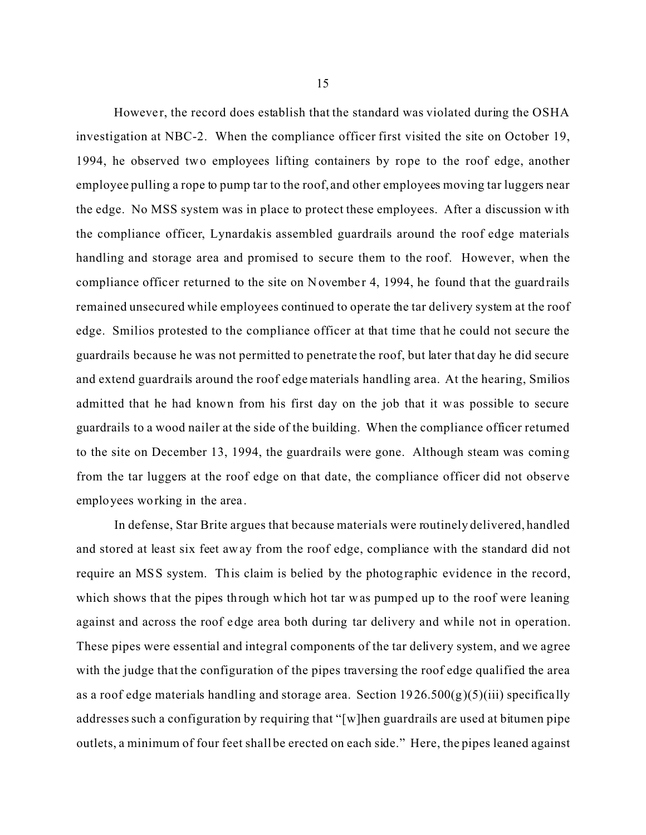However, the record does establish that the standard was violated during the OSHA investigation at NBC-2. When the compliance officer first visited the site on October 19, 1994, he observed two employees lifting containers by rope to the roof edge, another employee pulling a rope to pump tar to the roof, and other employees moving tar luggers near the edge. No MSS system was in place to protect these employees. After a discussion w ith the compliance officer, Lynardakis assembled guardrails around the roof edge materials handling and storage area and promised to secure them to the roof. However, when the compliance officer returned to the site on November 4, 1994, he found that the guardrails remained unsecured while employees continued to operate the tar delivery system at the roof edge. Smilios protested to the compliance officer at that time that he could not secure the guardrails because he was not permitted to penetrate the roof, but later that day he did secure and extend guardrails around the roof edge materials handling area. At the hearing, Smilios admitted that he had known from his first day on the job that it was possible to secure guardrails to a wood nailer at the side of the building. When the compliance officer returned to the site on December 13, 1994, the guardrails were gone. Although steam was coming from the tar luggers at the roof edge on that date, the compliance officer did not observe employees working in the area .

In defense, Star Brite argues that because materials were routinely delivered, handled and stored at least six feet away from the roof edge, compliance with the standard did not require an MSS system. This claim is belied by the photographic evidence in the record, which shows that the pipes through which hot tar was pumped up to the roof were leaning against and across the roof edge area both during tar delivery and while not in operation. These pipes were essential and integral components of the tar delivery system, and we agree with the judge that the configuration of the pipes traversing the roof edge qualified the area as a roof edge materials handling and storage area. Section  $1926.500(g)(5)(iii)$  specifically addresses such a configuration by requiring that "[w]hen guardrails are used at bitumen pipe outlets, a minimum of four feet shall be erected on each side." Here, the pipes leaned against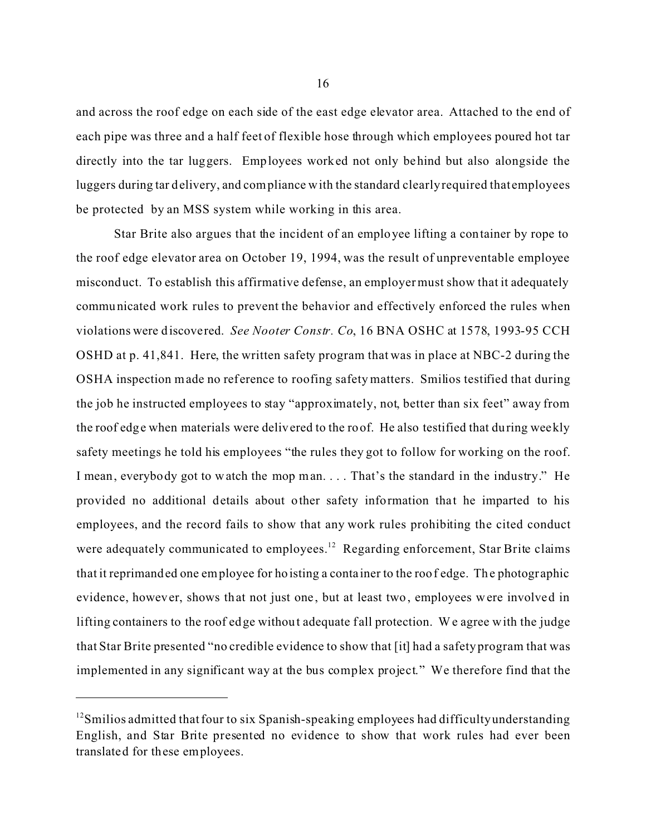and across the roof edge on each side of the east edge elevator area. Attached to the end of each pipe was three and a half feet of flexible hose through which employees poured hot tar directly into the tar luggers. Employees worked not only behind but also alongside the luggers during tar delivery, and compliance with the standard clearly required that employees be protected by an MSS system while working in this area.

Star Brite also argues that the incident of an employee lifting a container by rope to the roof edge elevator area on October 19, 1994, was the result of unpreventable employee misconduct. To establish this affirmative defense, an employer must show that it adequately communicated work rules to prevent the behavior and effectively enforced the rules when violations were discovered. *See Nooter Constr. Co*, 16 BNA OSHC at 1578, 1993-95 CCH OSHD at p. 41,841. Here, the written safety program that was in place at NBC-2 during the OSHA inspection made no reference to roofing safety matters. Smilios testified that during the job he instructed employees to stay "approximately, not, better than six feet" away from the roof edge when materials were delivered to the roof. He also testified that during weekly safety meetings he told his employees "the rules they got to follow for working on the roof. I mean, everybody got to watch the mop man. . . . That's the standard in the industry." He provided no additional details about other safety information that he imparted to his employees, and the record fails to show that any work rules prohibiting the cited conduct were adequately communicated to employees.<sup>12</sup> Regarding enforcement, Star Brite claims that it reprimanded one employee for hoisting a conta iner to the roof edge. The photographic evidence, however, shows that not just one , but at least two, employees were involved in lifting containers to the roof edge without adequate fall protection. We agree with the judge that Star Brite presented "no credible evidence to show that [it] had a safety program that was implemented in any significant way at the bus complex project." We therefore find that the

 $12$ Smilios admitted that four to six Spanish-speaking employees had difficulty understanding English, and Star Brite presented no evidence to show that work rules had ever been translated for these employees.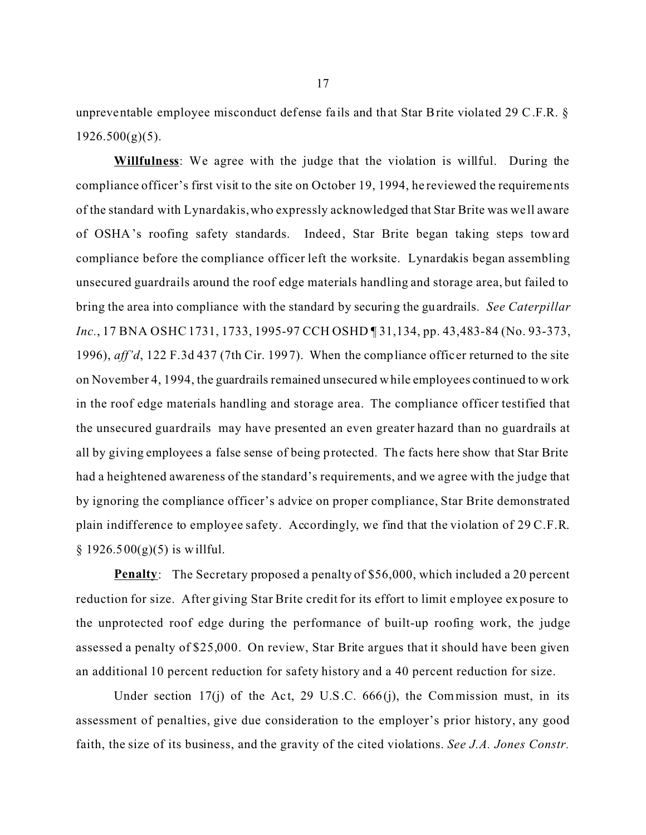unpreventable employee misconduct defense fa ils and that Star Brite violated 29 C.F.R. §  $1926.500(g)(5)$ .

**Willfulness**: We agree with the judge that the violation is willful. During the compliance officer's first visit to the site on October 19, 1994, he reviewed the requirements of the standard with Lynardakis, who expressly acknowledged that Star Brite was we ll aware of OSHA's roofing safety standards. Indeed, Star Brite began taking steps toward compliance before the compliance officer left the worksite. Lynardakis began assembling unsecured guardrails around the roof edge materials handling and storage area, but failed to bring the area into compliance with the standard by securing the guardrails. *See Caterpillar Inc.*, 17 BNA OSHC 1731, 1733, 1995-97 CCH OSHD ¶ 31,134, pp. 43,483-84 (No. 93-373, 1996), *aff'd*, 122 F.3d 437 (7th Cir. 1997). When the compliance offic er returned to the site on November 4, 1994, the guardrails remained unsecured w hile employees continued to w ork in the roof edge materials handling and storage area. The compliance officer testified that the unsecured guardrails may have presented an even greater hazard than no guardrails at all by giving employees a false sense of being protected. The facts here show that Star Brite had a heightened awareness of the standard's requirements, and we agree with the judge that by ignoring the compliance officer's advice on proper compliance, Star Brite demonstrated plain indifference to employee safety. Accordingly, we find that the violation of 29 C.F.R.  $§ 1926.500(g)(5)$  is willful.

**Penalty**: The Secretary proposed a penalty of \$56,000, which included a 20 percent reduction for size. After giving Star Brite credit for its effort to limit employee exposure to the unprotected roof edge during the performance of built-up roofing work, the judge assessed a penalty of \$25,000. On review, Star Brite argues that it should have been given an additional 10 percent reduction for safety history and a 40 percent reduction for size.

Under section 17(j) of the Act, 29 U.S.C.  $666(j)$ , the Commission must, in its assessment of penalties, give due consideration to the employer's prior history, any good faith, the size of its business, and the gravity of the cited violations. *See J.A. Jones Constr.*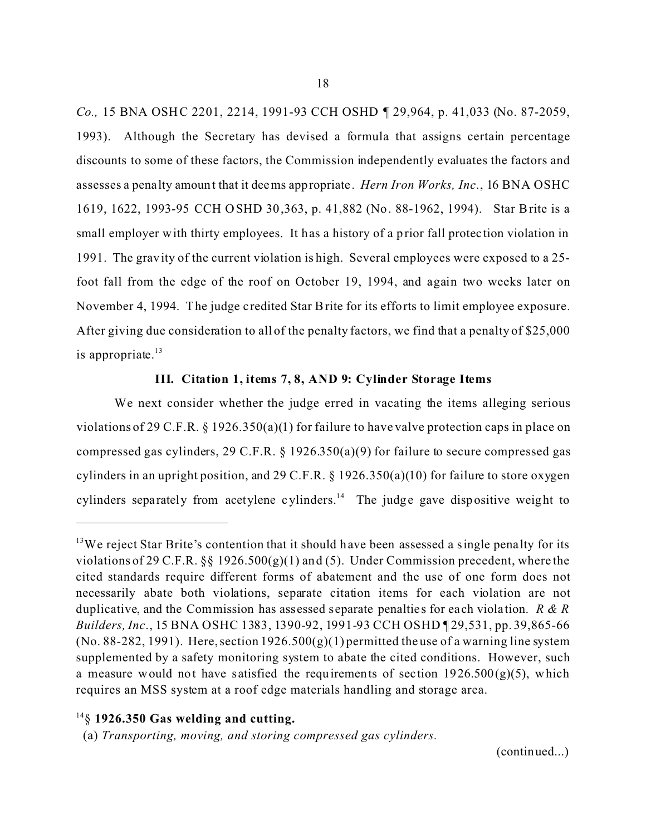*Co.*, 15 BNA OSHC 2201, 2214, 1991-93 CCH OSHD ¶ 29,964, p. 41,033 (No. 87-2059, 1993). Although the Secretary has devised a formula that assigns certain percentage discounts to some of these factors, the Commission independently evaluates the factors and assesses a penalty amount that it deems appropriate. *Hern Iron Works, Inc*., 16 BNA OSHC 1619, 1622, 1993-95 CCH OSHD 30,363, p. 41,882 (No. 88-1962, 1994). Star Brite is a small employer with thirty employees. It has a history of a prior fall protection violation in 1991. The gravity of the current violation is high. Several employees were exposed to a 25 foot fall from the edge of the roof on October 19, 1994, and again two weeks later on November 4, 1994. The judge c redited Star Brite for its efforts to limit employee exposure. After giving due consideration to all of the penalty factors, we find that a penalty of \$25,000 is appropriate. $13$ 

# **III. Citation 1, items 7, 8, AND 9: Cylinder Storage Items**

We next consider whether the judge erred in vacating the items alleging serious violations of 29 C.F.R. § 1926.350(a)(1) for failure to have valve protection caps in place on compressed gas cylinders, 29 C.F.R. § 1926.350(a)(9) for failure to secure compressed gas cylinders in an upright position, and 29 C.F.R.  $\S$  1926.350(a)(10) for failure to store oxygen cylinders separately from acetylene cylinders.<sup>14</sup> The judge gave dispositive weight to

(continued...)

<sup>&</sup>lt;sup>13</sup>We reject Star Brite's contention that it should have been assessed a single penalty for its violations of 29 C.F.R.  $\S$  1926.500(g)(1) and (5). Under Commission precedent, where the cited standards require different forms of abatement and the use of one form does not necessarily abate both violations, separate citation items for each violation are not duplicative, and the Commission has assessed separate penalties for each violation. *R & R Builders, Inc.*, 15 BNA OSHC 1383, 1390-92, 1991-93 CCH OSHD 129,531, pp. 39,865-66 (No. 88-282, 1991). Here, section  $1926.500(g)(1)$  permitted the use of a warning line system supplemented by a safety monitoring system to abate the cited conditions. However, such a measure would not have satisfied the requirements of section  $1926.500(g)(5)$ , which requires an MSS system at a roof edge materials handling and storage area.

<sup>14§</sup> **1926.350 Gas welding and cutting.** 

<sup>(</sup>a) *Transporting, moving, and storing compressed gas cylinders.*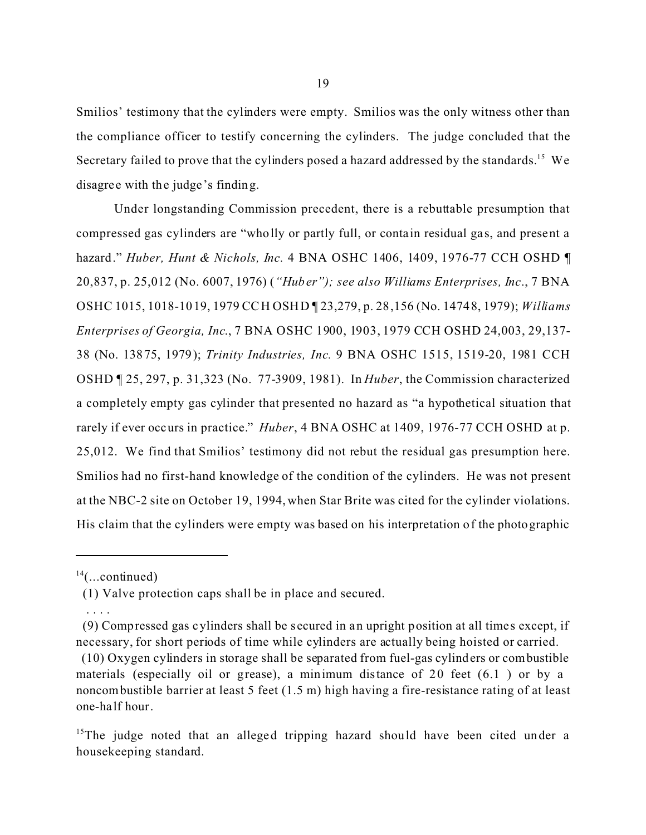Smilios' testimony that the cylinders were empty. Smilios was the only witness other than the compliance officer to testify concerning the cylinders. The judge concluded that the Secretary failed to prove that the cylinders posed a hazard addressed by the standards.<sup>15</sup> We disagree with the judge's finding.

Under longstanding Commission precedent, there is a rebuttable presumption that compressed gas cylinders are "wholly or partly full, or contain residual gas, and present a hazard." *Huber, Hunt & Nichols, Inc.* 4 BNA OSHC 1406, 1409, 1976-77 CCH OSHD ¶ 20,837, p. 25,012 (No. 6007, 1976) (*"Huber"); see also Williams Enterprises, Inc*., 7 BNA OSHC 1015, 1018-1019, 1979 CCH OSHD ¶ 23,279, p. 28,156 (No. 14748, 1979); *Williams Enterprises of Georgia, Inc*., 7 BNA OSHC 1900, 1903, 1979 CCH OSHD 24,003, 29,137- 38 (No. 13875, 1979); *Trinity Industries, Inc.* 9 BNA OSHC 1515, 1519-20, 1981 CCH OSHD ¶ 25, 297, p. 31,323 (No. 77-3909, 1981). In *Huber*, the Commission characterized a completely empty gas cylinder that presented no hazard as "a hypothetical situation that rarely if ever occurs in practice." *Huber*, 4 BNA OSHC at 1409, 1976-77 CCH OSHD at p. 25,012. We find that Smilios' testimony did not rebut the residual gas presumption here. Smilios had no first-hand knowledge of the condition of the cylinders. He was not present at the NBC-2 site on October 19, 1994, when Star Brite was cited for the cylinder violations. His claim that the cylinders were empty was based on his interpretation of the photographic

. . . .

 $14$ (...continued)

<sup>(1)</sup> Valve protection caps shall be in place and secured.

<sup>(9)</sup> Compressed gas cylinders shall be secured in an upright position at all time s except, if necessary, for short periods of time while cylinders are actually being hoisted or carried.

<sup>(10)</sup> Oxygen cylinders in storage shall be separated from fuel-gas cylinders or combustible materials (especially oil or grease), a minimum distance of 20 feet (6.1 ) or by a noncombustible barrier at least 5 feet (1.5 m) high having a fire-resistance rating of at least one-ha lf hour.

<sup>&</sup>lt;sup>15</sup>The judge noted that an alleged tripping hazard should have been cited under a housekeeping standard.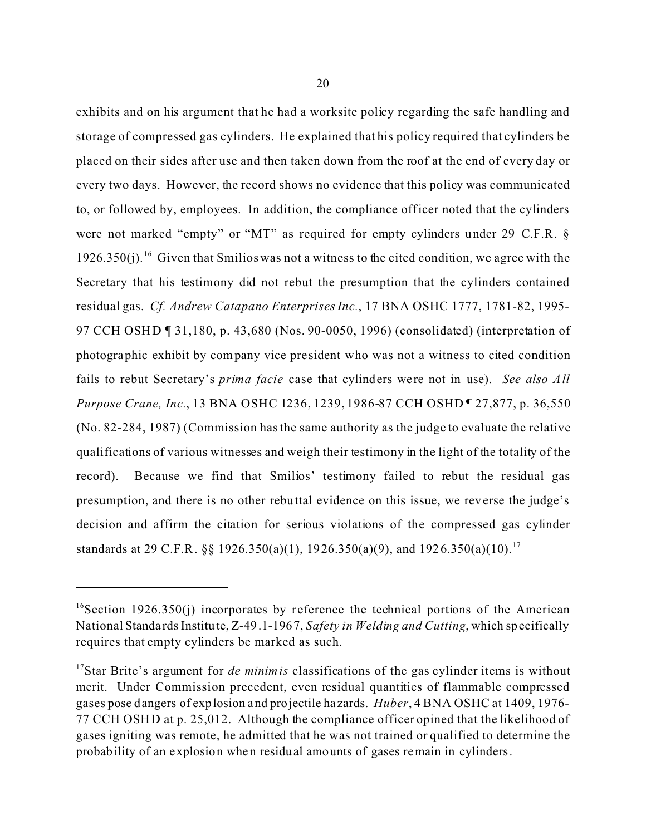exhibits and on his argument that he had a worksite policy regarding the safe handling and storage of compressed gas cylinders. He explained that his policy required that cylinders be placed on their sides after use and then taken down from the roof at the end of every day or every two days. However, the record shows no evidence that this policy was communicated

to, or followed by, employees. In addition, the compliance officer noted that the cylinders were not marked "empty" or "MT" as required for empty cylinders under 29 C.F.R. § 1926.350(j).<sup>16</sup> Given that Smilios was not a witness to the cited condition, we agree with the Secretary that his testimony did not rebut the presumption that the cylinders contained residual gas. *Cf. Andrew Catapano Enterprises Inc.*, 17 BNA OSHC 1777, 1781-82, 1995- 97 CCH OSHD ¶ 31,180, p. 43,680 (Nos. 90-0050, 1996) (consolidated) (interpretation of photographic exhibit by company vice pre sident who was not a witness to cited condition fails to rebut Secretary's *prima facie* case that cylinders were not in use). *See also All Purpose Crane, Inc.*, 13 BNA OSHC 1236, 1239, 1986-87 CCH OSHD ¶ 27,877, p. 36,550 (No. 82-284, 1987) (Commission has the same authority as the judge to evaluate the relative qualifications of various witnesses and weigh their testimony in the light of the totality of the record). Because we find that Smilios' testimony failed to rebut the residual gas presumption, and there is no other rebuttal evidence on this issue, we reverse the judge's decision and affirm the citation for serious violations of the compressed gas cylinder standards at 29 C.F.R. §§ 1926.350(a)(1), 1926.350(a)(9), and 1926.350(a)(10).<sup>17</sup>

<sup>&</sup>lt;sup>16</sup>Section 1926.350(j) incorporates by reference the technical portions of the American National Standa rds Institute, Z-49.1-1967, *Safety in Welding and Cutting*, which specifically requires that empty cylinders be marked as such.

<sup>&</sup>lt;sup>17</sup>Star Brite's argument for *de minimis* classifications of the gas cylinder items is without merit. Under Commission precedent, even residual quantities of flammable compressed gases pose dangers of explosion and projectile ha zards. *Huber*, 4 BNA OSHC at 1409, 1976- 77 CCH OSHD at p. 25,012. Although the compliance officer opined that the likelihood of gases igniting was remote, he admitted that he was not trained or qualified to determine the probability of an explosion when residual amounts of gases remain in cylinders.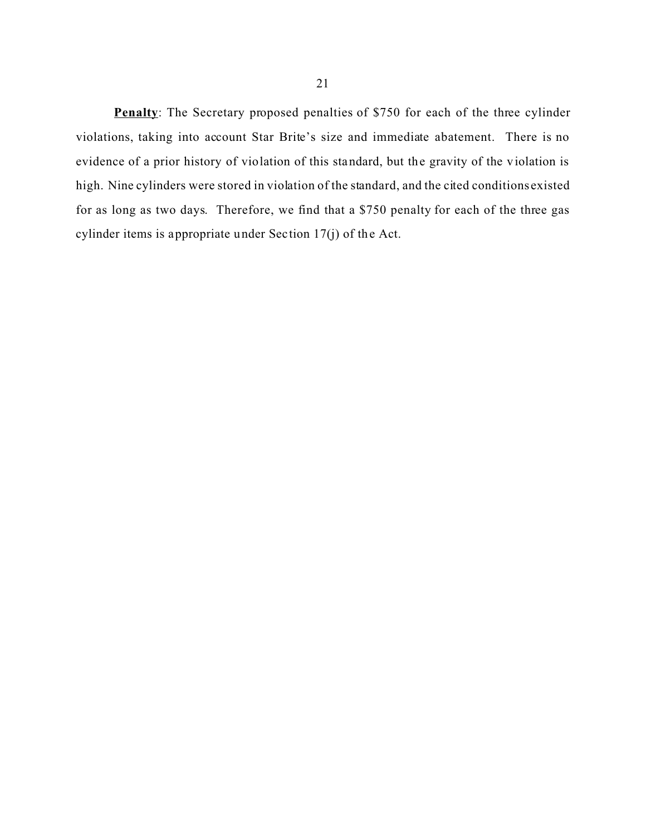**Penalty**: The Secretary proposed penalties of \$750 for each of the three cylinder violations, taking into account Star Brite's size and immediate abatement. There is no evidence of a prior history of violation of this standard, but the gravity of the violation is high. Nine cylinders were stored in violation of the standard, and the cited conditions existed for as long as two days. Therefore, we find that a \$750 penalty for each of the three gas

cylinder items is appropriate under Section 17(j) of the Act.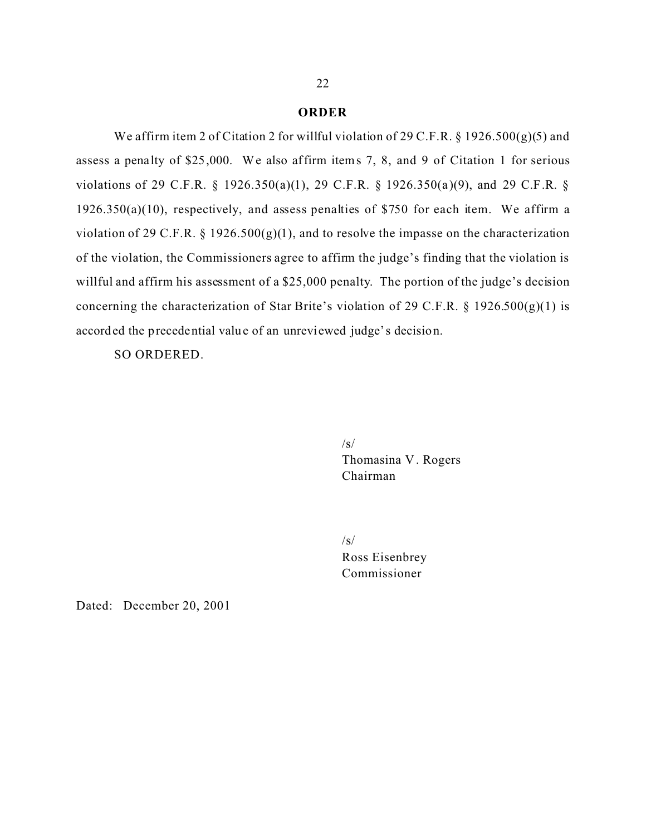### **ORDER**

We affirm item 2 of Citation 2 for willful violation of 29 C.F.R.  $\S$  1926.500(g)(5) and assess a penalty of \$25,000. We also affirm items 7, 8, and 9 of Citation 1 for serious violations of 29 C.F.R. § 1926.350(a)(1), 29 C.F.R. § 1926.350(a)(9), and 29 C.F.R. § 1926.350(a)(10), respectively, and assess penalties of \$750 for each item. We affirm a violation of 29 C.F.R. § 1926.500(g)(1), and to resolve the impasse on the characterization of the violation, the Commissioners agree to affirm the judge's finding that the violation is willful and affirm his assessment of a \$25,000 penalty. The portion of the judge's decision concerning the characterization of Star Brite's violation of 29 C.F.R.  $\S$  1926.500(g)(1) is accorded the precedential value of an unreviewed judge's decision.

SO ORDERED.

 $\sqrt{s}$ Thomasina V . Rogers Chairman

/s/ Ross Eisenbrey Commissioner

Dated: December 20, 2001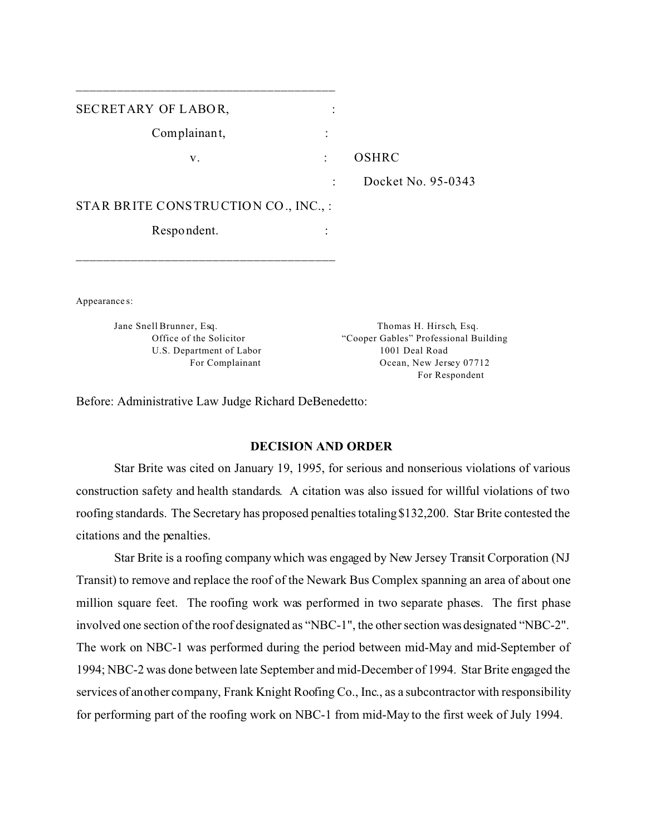| SECRETARY OF LABOR,                  |                                            |
|--------------------------------------|--------------------------------------------|
| Complainant,                         | $\ddot{\cdot}$                             |
| V.                                   | <b>OSHRC</b><br>$\ddot{\cdot}$             |
|                                      | Docket No. 95-0343<br>$\ddot{\phantom{a}}$ |
| STAR BRITE CONSTRUCTION CO., INC., : |                                            |
| Respondent.                          |                                            |
|                                      |                                            |
| Appearance s:                        |                                            |
| Jane Snell Brunner, Esq.             | Thomas H. Hirsch, Esq.                     |
| Office of the Solicitor              | "Cooper Gables" Professional Building      |
| U.S. Department of Labor             | 1001 Deal Road                             |
| For Complainant                      | Ocean, New Jersey 07712                    |
|                                      | For Respondent                             |

Before: Administrative Law Judge Richard DeBenedetto:

\_\_\_\_\_\_\_\_\_\_\_\_\_\_\_\_\_\_\_\_\_\_\_\_\_\_\_\_\_\_\_\_\_\_\_\_\_\_

## **DECISION AND ORDER**

Star Brite was cited on January 19, 1995, for serious and nonserious violations of various construction safety and health standards. A citation was also issued for willful violations of two roofing standards. The Secretary has proposed penalties totaling \$132,200. Star Brite contested the citations and the penalties.

Star Brite is a roofing company which was engaged by New Jersey Transit Corporation (NJ Transit) to remove and replace the roof of the Newark Bus Complex spanning an area of about one million square feet. The roofing work was performed in two separate phases. The first phase involved one section of the roof designated as "NBC-1", the other section was designated "NBC-2". The work on NBC-1 was performed during the period between mid-May and mid-September of 1994; NBC-2 was done between late September and mid-December of 1994. Star Brite engaged the services of another company, Frank Knight Roofing Co., Inc., as a subcontractor with responsibility for performing part of the roofing work on NBC-1 from mid-May to the first week of July 1994.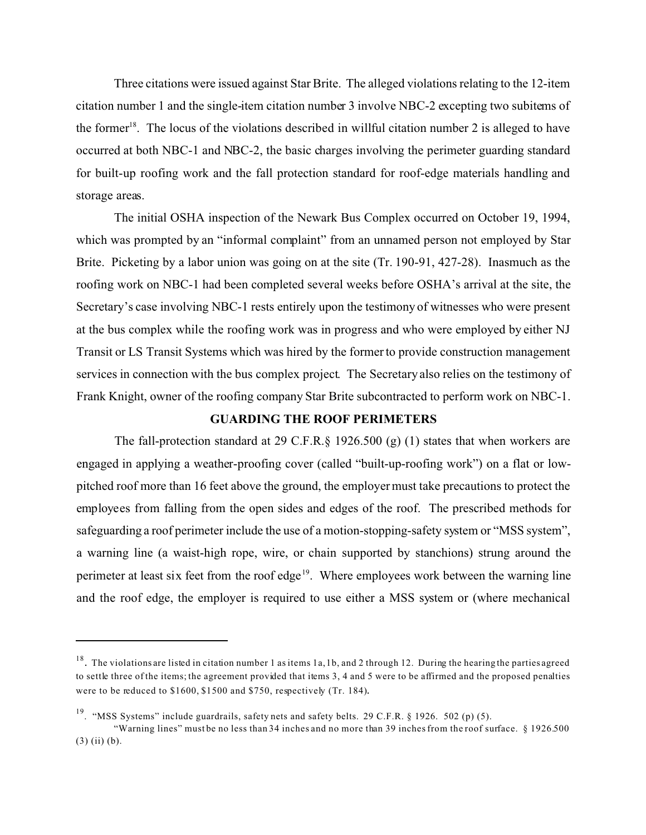Three citations were issued against Star Brite. The alleged violations relating to the 12-item citation number 1 and the single-item citation number 3 involve NBC-2 excepting two subitems of the former<sup>18</sup>. The locus of the violations described in willful citation number 2 is alleged to have occurred at both NBC-1 and NBC-2, the basic charges involving the perimeter guarding standard for built-up roofing work and the fall protection standard for roof-edge materials handling and storage areas.

The initial OSHA inspection of the Newark Bus Complex occurred on October 19, 1994, which was prompted by an "informal complaint" from an unnamed person not employed by Star Brite. Picketing by a labor union was going on at the site (Tr. 190-91, 427-28). Inasmuch as the roofing work on NBC-1 had been completed several weeks before OSHA's arrival at the site, the Secretary's case involving NBC-1 rests entirely upon the testimony of witnesses who were present at the bus complex while the roofing work was in progress and who were employed by either NJ Transit or LS Transit Systems which was hired by the former to provide construction management services in connection with the bus complex project. The Secretary also relies on the testimony of Frank Knight, owner of the roofing company Star Brite subcontracted to perform work on NBC-1.

## **GUARDING THE ROOF PERIMETERS**

The fall-protection standard at 29 C.F.R.§ 1926.500 (g) (1) states that when workers are engaged in applying a weather-proofing cover (called "built-up-roofing work") on a flat or lowpitched roof more than 16 feet above the ground, the employer must take precautions to protect the employees from falling from the open sides and edges of the roof. The prescribed methods for safeguarding a roof perimeter include the use of a motion-stopping-safety system or "MSS system", a warning line (a waist-high rope, wire, or chain supported by stanchions) strung around the perimeter at least six feet from the roof edge<sup>19</sup>. Where employees work between the warning line and the roof edge, the employer is required to use either a MSS system or (where mechanical

 $18$ . The violations are listed in citation number 1 as items 1a, 1b, and 2 through 12. During the hearing the parties agreed to settle three of the items; the agreement provided that items 3, 4 and 5 were to be affirmed and the proposed penalties were to be reduced to \$1600, \$1500 and \$750, respectively (Tr. 184).

<sup>&</sup>lt;sup>19</sup>. "MSS Systems" include guardrails, safety nets and safety belts. 29 C.F.R. § 1926. 502 (p) (5).

<sup>&</sup>quot;Warning lines" must be no less than 34 inches and no more than 39 inches from the roof surface. § 1926.500  $(3)$  (ii) (b).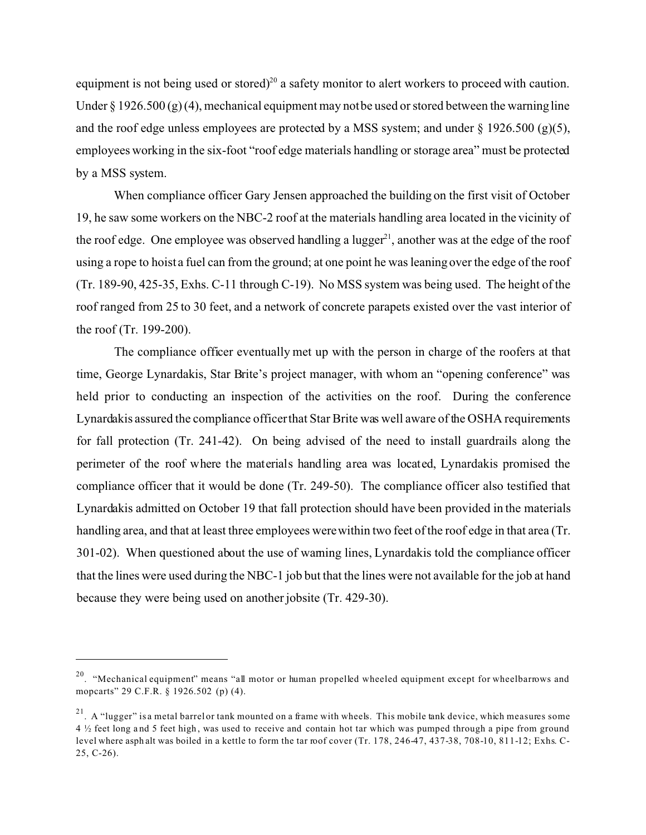equipment is not being used or stored)<sup>20</sup> a safety monitor to alert workers to proceed with caution. Under § 1926.500 (g) (4), mechanical equipment may not be used or stored between the warning line and the roof edge unless employees are protected by a MSS system; and under  $\S$  1926.500 (g)(5), employees working in the six-foot "roof edge materials handling or storage area" must be protected by a MSS system.

When compliance officer Gary Jensen approached the building on the first visit of October 19, he saw some workers on the NBC-2 roof at the materials handling area located in the vicinity of the roof edge. One employee was observed handling a lugger<sup>21</sup>, another was at the edge of the roof using a rope to hoist a fuel can from the ground; at one point he was leaning over the edge of the roof (Tr. 189-90, 425-35, Exhs. C-11 through C-19). No MSS system was being used. The height of the roof ranged from 25 to 30 feet, and a network of concrete parapets existed over the vast interior of the roof (Tr. 199-200).

The compliance officer eventually met up with the person in charge of the roofers at that time, George Lynardakis, Star Brite's project manager, with whom an "opening conference" was held prior to conducting an inspection of the activities on the roof. During the conference Lynardakis assured the compliance officerthat Star Brite was well aware of the OSHA requirements for fall protection (Tr. 241-42). On being advised of the need to install guardrails along the perimeter of the roof where the materials handling area was located, Lynardakis promised the compliance officer that it would be done (Tr. 249-50). The compliance officer also testified that Lynardakis admitted on October 19 that fall protection should have been provided in the materials handling area, and that at least three employees were within two feet of the roof edge in that area (Tr. 301-02). When questioned about the use of warning lines, Lynardakis told the compliance officer that the lines were used during the NBC-1 job but that the lines were not available for the job at hand because they were being used on another jobsite (Tr. 429-30).

<sup>&</sup>lt;sup>20</sup>. "Mechanical equipment" means "all motor or human propelled wheeled equipment except for wheelbarrows and mopcarts" 29 C.F.R. § 1926.502 (p) (4).

 $21$ . A "lugger" is a metal barrel or tank mounted on a frame with wheels. This mobile tank device, which measures some 4 ½ feet long a nd 5 feet high , was used to receive and contain hot tar which was pumped through a pipe from ground level where asph alt was boiled in a kettle to form the tar roof cover (Tr. 178, 246-47, 437-38, 708-10, 811-12; Exhs. C-25, C-26).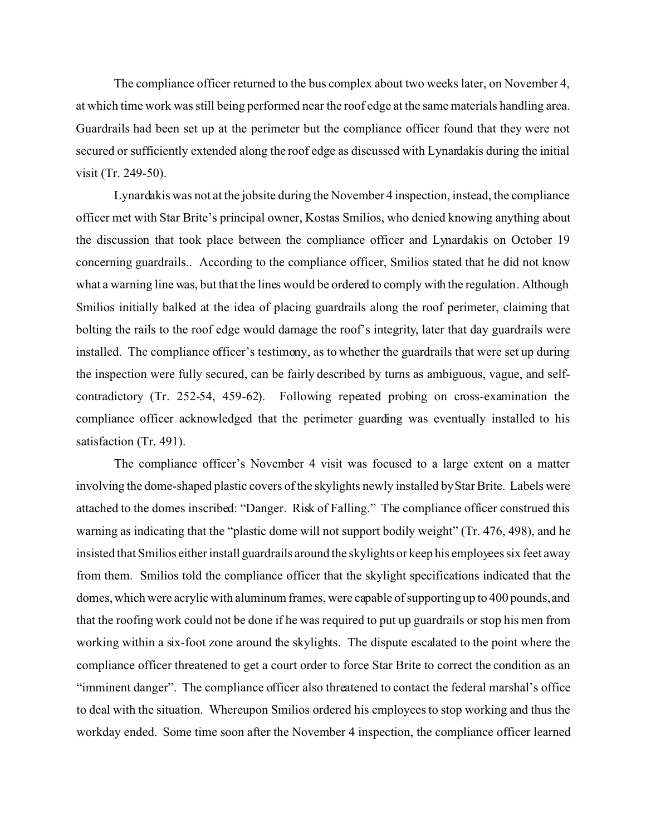The compliance officer returned to the bus complex about two weeks later, on November 4, at which time work was still being performed near the roof edge at the same materials handling area. Guardrails had been set up at the perimeter but the compliance officer found that they were not secured or sufficiently extended along the roof edge as discussed with Lynardakis during the initial visit (Tr. 249-50).

Lynardakis was not at the jobsite during the November 4 inspection, instead, the compliance officer met with Star Brite's principal owner, Kostas Smilios, who denied knowing anything about the discussion that took place between the compliance officer and Lynardakis on October 19 concerning guardrails.. According to the compliance officer, Smilios stated that he did not know what a warning line was, but that the lines would be ordered to comply with the regulation. Although Smilios initially balked at the idea of placing guardrails along the roof perimeter, claiming that bolting the rails to the roof edge would damage the roof's integrity, later that day guardrails were installed. The compliance officer's testimony, as to whether the guardrails that were set up during the inspection were fully secured, can be fairly described by turns as ambiguous, vague, and selfcontradictory (Tr. 252-54, 459-62). Following repeated probing on cross-examination the compliance officer acknowledged that the perimeter guarding was eventually installed to his satisfaction (Tr. 491).

The compliance officer's November 4 visit was focused to a large extent on a matter involving the dome-shaped plastic covers of the skylights newly installed byStar Brite. Labels were attached to the domes inscribed: "Danger. Risk of Falling." The compliance officer construed this warning as indicating that the "plastic dome will not support bodily weight" (Tr. 476, 498), and he insisted that Smilios either install guardrails around the skylights or keep his employees six feet away from them. Smilios told the compliance officer that the skylight specifications indicated that the domes, which were acrylic with aluminum frames, were capable of supporting up to 400 pounds, and that the roofing work could not be done if he was required to put up guardrails or stop his men from working within a six-foot zone around the skylights. The dispute escalated to the point where the compliance officer threatened to get a court order to force Star Brite to correct the condition as an "imminent danger". The compliance officer also threatened to contact the federal marshal's office to deal with the situation. Whereupon Smilios ordered his employees to stop working and thus the workday ended. Some time soon after the November 4 inspection, the compliance officer learned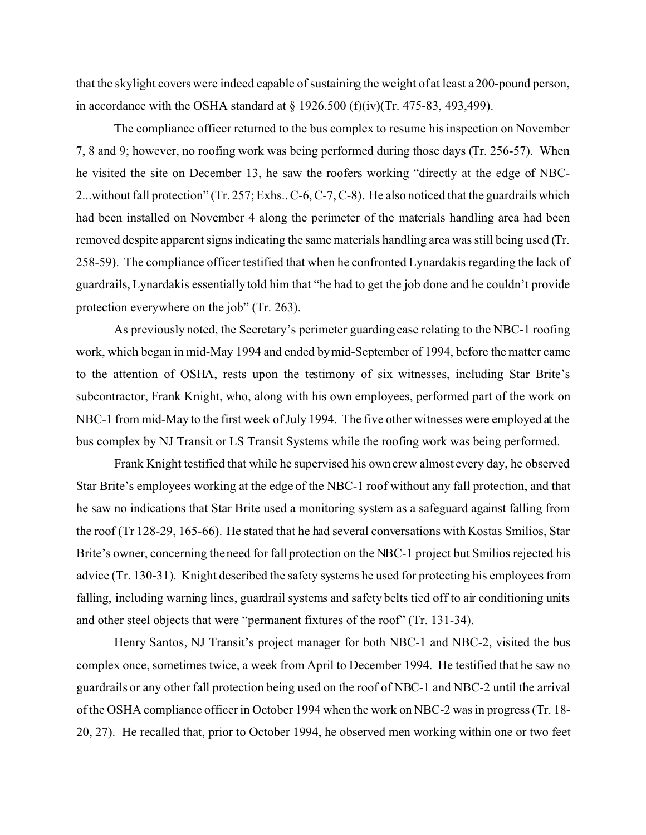that the skylight covers were indeed capable of sustaining the weight of at least a 200-pound person, in accordance with the OSHA standard at  $\S$  1926.500 (f)(iv)(Tr. 475-83, 493,499).

The compliance officer returned to the bus complex to resume his inspection on November 7, 8 and 9; however, no roofing work was being performed during those days (Tr. 256-57). When he visited the site on December 13, he saw the roofers working "directly at the edge of NBC-2...without fall protection" (Tr. 257; Exhs.. C-6, C-7, C-8). He also noticed that the guardrails which had been installed on November 4 along the perimeter of the materials handling area had been removed despite apparent signs indicating the same materials handling area was still being used (Tr. 258-59). The compliance officer testified that when he confronted Lynardakis regarding the lack of guardrails, Lynardakis essentially told him that "he had to get the job done and he couldn't provide protection everywhere on the job" (Tr. 263).

As previously noted, the Secretary's perimeter guarding case relating to the NBC-1 roofing work, which began in mid-May 1994 and ended by mid-September of 1994, before the matter came to the attention of OSHA, rests upon the testimony of six witnesses, including Star Brite's subcontractor, Frank Knight, who, along with his own employees, performed part of the work on NBC-1 from mid-May to the first week of July 1994. The five other witnesses were employed at the bus complex by NJ Transit or LS Transit Systems while the roofing work was being performed.

Frank Knight testified that while he supervised his own crew almost every day, he observed Star Brite's employees working at the edge of the NBC-1 roof without any fall protection, and that he saw no indications that Star Brite used a monitoring system as a safeguard against falling from the roof (Tr 128-29, 165-66). He stated that he had several conversations with Kostas Smilios, Star Brite's owner, concerning the need for fall protection on the NBC-1 project but Smilios rejected his advice (Tr. 130-31). Knight described the safety systems he used for protecting his employees from falling, including warning lines, guardrail systems and safety belts tied off to air conditioning units and other steel objects that were "permanent fixtures of the roof" (Tr. 131-34).

Henry Santos, NJ Transit's project manager for both NBC-1 and NBC-2, visited the bus complex once, sometimes twice, a week from April to December 1994. He testified that he saw no guardrails or any other fall protection being used on the roof of NBC-1 and NBC-2 until the arrival of the OSHA compliance officer in October 1994 when the work on NBC-2 was in progress (Tr. 18- 20, 27). He recalled that, prior to October 1994, he observed men working within one or two feet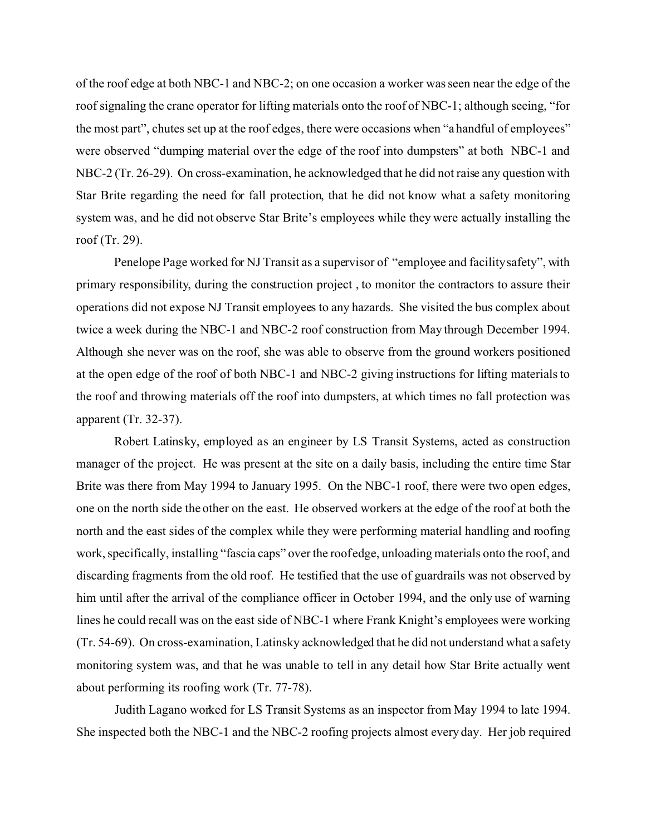of the roof edge at both NBC-1 and NBC-2; on one occasion a worker was seen near the edge of the roof signaling the crane operator for lifting materials onto the roof of NBC-1; although seeing, "for the most part", chutes set up at the roof edges, there were occasions when "a handful of employees" were observed "dumping material over the edge of the roof into dumpsters" at both NBC-1 and NBC-2 (Tr. 26-29). On cross-examination, he acknowledged that he did not raise any question with Star Brite regarding the need for fall protection, that he did not know what a safety monitoring system was, and he did not observe Star Brite's employees while they were actually installing the roof (Tr. 29).

Penelope Page worked for NJ Transit as a supervisor of "employee and facilitysafety", with primary responsibility, during the construction project , to monitor the contractors to assure their operations did not expose NJ Transit employees to any hazards. She visited the bus complex about twice a week during the NBC-1 and NBC-2 roof construction from May through December 1994. Although she never was on the roof, she was able to observe from the ground workers positioned at the open edge of the roof of both NBC-1 and NBC-2 giving instructions for lifting materials to the roof and throwing materials off the roof into dumpsters, at which times no fall protection was apparent (Tr. 32-37).

Robert Latinsky, employed as an engineer by LS Transit Systems, acted as construction manager of the project. He was present at the site on a daily basis, including the entire time Star Brite was there from May 1994 to January 1995. On the NBC-1 roof, there were two open edges, one on the north side the other on the east. He observed workers at the edge of the roof at both the north and the east sides of the complex while they were performing material handling and roofing work, specifically, installing "fascia caps" over the roof edge, unloading materials onto the roof, and discarding fragments from the old roof. He testified that the use of guardrails was not observed by him until after the arrival of the compliance officer in October 1994, and the only use of warning lines he could recall was on the east side of NBC-1 where Frank Knight's employees were working (Tr. 54-69). On cross-examination, Latinsky acknowledged that he did not understand what a safety monitoring system was, and that he was unable to tell in any detail how Star Brite actually went about performing its roofing work (Tr. 77-78).

Judith Lagano worked for LS Transit Systems as an inspector from May 1994 to late 1994. She inspected both the NBC-1 and the NBC-2 roofing projects almost every day. Her job required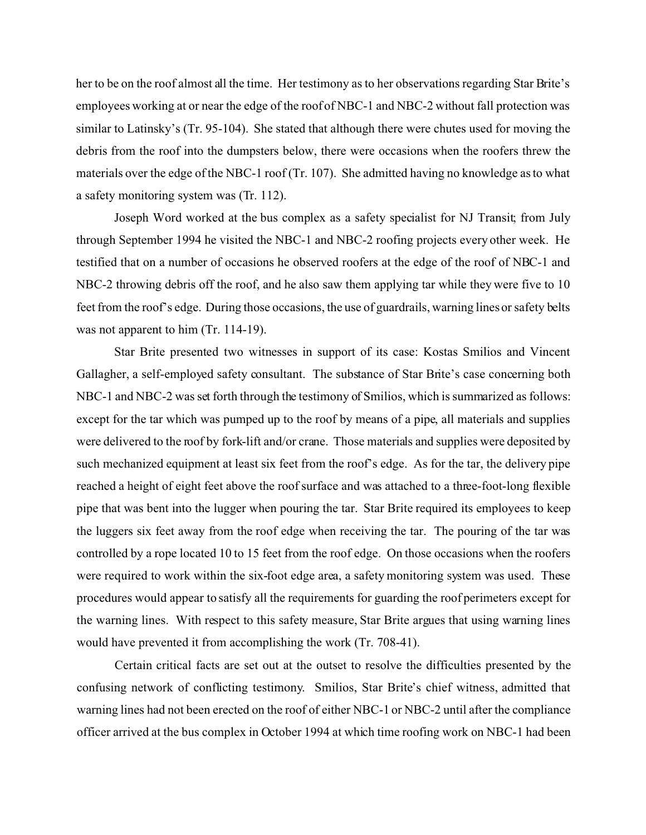her to be on the roof almost all the time. Her testimony as to her observations regarding Star Brite's employees working at or near the edge of the roof of NBC-1 and NBC-2 without fall protection was similar to Latinsky's (Tr. 95-104). She stated that although there were chutes used for moving the debris from the roof into the dumpsters below, there were occasions when the roofers threw the materials over the edge of the NBC-1 roof (Tr. 107). She admitted having no knowledge as to what a safety monitoring system was (Tr. 112).

Joseph Word worked at the bus complex as a safety specialist for NJ Transit; from July through September 1994 he visited the NBC-1 and NBC-2 roofing projects every other week. He testified that on a number of occasions he observed roofers at the edge of the roof of NBC-1 and NBC-2 throwing debris off the roof, and he also saw them applying tar while they were five to 10 feet from the roof's edge. During those occasions, the use of guardrails, warning lines or safety belts was not apparent to him (Tr. 114-19).

Star Brite presented two witnesses in support of its case: Kostas Smilios and Vincent Gallagher, a self-employed safety consultant. The substance of Star Brite's case concerning both NBC-1 and NBC-2 was set forth through the testimony of Smilios, which is summarized as follows: except for the tar which was pumped up to the roof by means of a pipe, all materials and supplies were delivered to the roof by fork-lift and/or crane. Those materials and supplies were deposited by such mechanized equipment at least six feet from the roof's edge. As for the tar, the delivery pipe reached a height of eight feet above the roof surface and was attached to a three-foot-long flexible pipe that was bent into the lugger when pouring the tar. Star Brite required its employees to keep the luggers six feet away from the roof edge when receiving the tar. The pouring of the tar was controlled by a rope located 10 to 15 feet from the roof edge. On those occasions when the roofers were required to work within the six-foot edge area, a safety monitoring system was used. These procedures would appear to satisfy all the requirements for guarding the roof perimeters except for the warning lines. With respect to this safety measure, Star Brite argues that using warning lines would have prevented it from accomplishing the work (Tr. 708-41).

Certain critical facts are set out at the outset to resolve the difficulties presented by the confusing network of conflicting testimony. Smilios, Star Brite's chief witness, admitted that warning lines had not been erected on the roof of either NBC-1 or NBC-2 until after the compliance officer arrived at the bus complex in October 1994 at which time roofing work on NBC-1 had been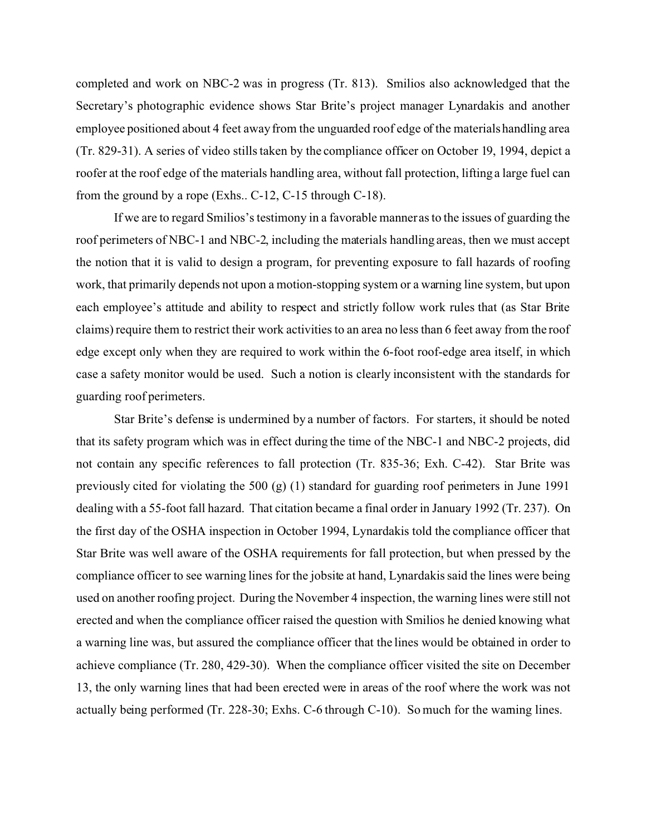completed and work on NBC-2 was in progress (Tr. 813). Smilios also acknowledged that the Secretary's photographic evidence shows Star Brite's project manager Lynardakis and another employee positioned about 4 feet away from the unguarded roof edge of the materials handling area (Tr. 829-31). A series of video stills taken by the compliance officer on October 19, 1994, depict a roofer at the roof edge of the materials handling area, without fall protection, lifting a large fuel can from the ground by a rope (Exhs.. C-12, C-15 through C-18).

If we are to regard Smilios's testimony in a favorable manner as to the issues of guarding the roof perimeters of NBC-1 and NBC-2, including the materials handling areas, then we must accept the notion that it is valid to design a program, for preventing exposure to fall hazards of roofing work, that primarily depends not upon a motion-stopping system or a warning line system, but upon each employee's attitude and ability to respect and strictly follow work rules that (as Star Brite claims) require them to restrict their work activities to an area no less than 6 feet away from the roof edge except only when they are required to work within the 6-foot roof-edge area itself, in which case a safety monitor would be used. Such a notion is clearly inconsistent with the standards for guarding roof perimeters.

Star Brite's defense is undermined by a number of factors. For starters, it should be noted that its safety program which was in effect during the time of the NBC-1 and NBC-2 projects, did not contain any specific references to fall protection (Tr. 835-36; Exh. C-42). Star Brite was previously cited for violating the 500 (g) (1) standard for guarding roof perimeters in June 1991 dealing with a 55-foot fall hazard. That citation became a final order in January 1992 (Tr. 237). On the first day of the OSHA inspection in October 1994, Lynardakis told the compliance officer that Star Brite was well aware of the OSHA requirements for fall protection, but when pressed by the compliance officer to see warning lines for the jobsite at hand, Lynardakis said the lines were being used on another roofing project. During the November 4 inspection, the warning lines were still not erected and when the compliance officer raised the question with Smilios he denied knowing what a warning line was, but assured the compliance officer that the lines would be obtained in order to achieve compliance (Tr. 280, 429-30). When the compliance officer visited the site on December 13, the only warning lines that had been erected were in areas of the roof where the work was not actually being performed (Tr. 228-30; Exhs. C-6 through C-10). So much for the warning lines.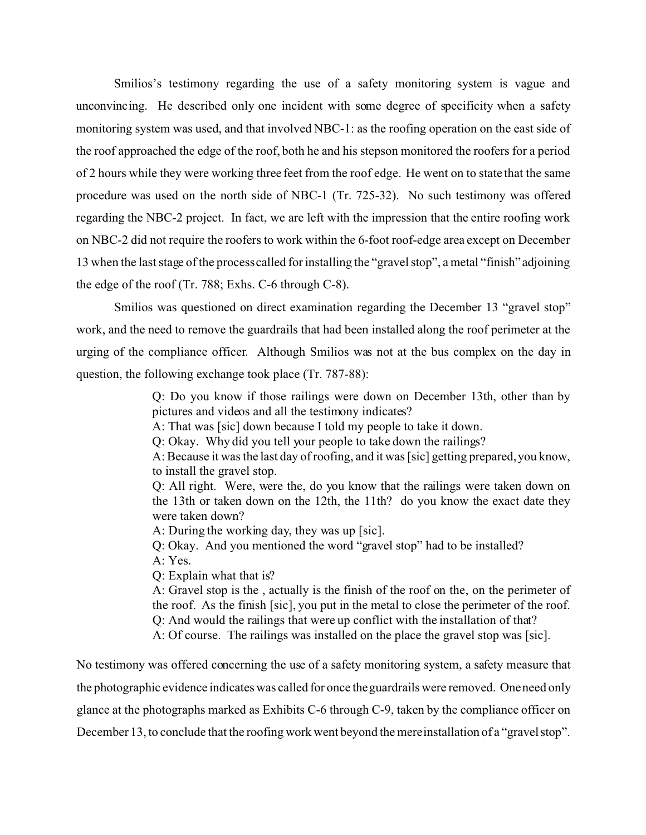Smilios's testimony regarding the use of a safety monitoring system is vague and unconvincing. He described only one incident with some degree of specificity when a safety monitoring system was used, and that involved NBC-1: as the roofing operation on the east side of the roof approached the edge of the roof, both he and his stepson monitored the roofers for a period of 2 hours while they were working three feet from the roof edge. He went on to state that the same procedure was used on the north side of NBC-1 (Tr. 725-32). No such testimony was offered regarding the NBC-2 project. In fact, we are left with the impression that the entire roofing work on NBC-2 did not require the roofers to work within the 6-foot roof-edge area except on December 13 when the last stage of the processcalled for installing the "gravel stop", a metal "finish" adjoining the edge of the roof (Tr. 788; Exhs. C-6 through C-8).

Smilios was questioned on direct examination regarding the December 13 "gravel stop" work, and the need to remove the guardrails that had been installed along the roof perimeter at the urging of the compliance officer. Although Smilios was not at the bus complex on the day in question, the following exchange took place (Tr. 787-88):

> Q: Do you know if those railings were down on December 13th, other than by pictures and videos and all the testimony indicates?

A: That was [sic] down because I told my people to take it down.

Q: Okay. Why did you tell your people to take down the railings?

A: Because it was the last day of roofing, and it was [sic] getting prepared, you know, to install the gravel stop.

Q: All right. Were, were the, do you know that the railings were taken down on the 13th or taken down on the 12th, the 11th? do you know the exact date they were taken down?

A: During the working day, they was up [sic].

Q: Okay. And you mentioned the word "gravel stop" had to be installed?

A: Yes.

Q: Explain what that is?

A: Gravel stop is the , actually is the finish of the roof on the, on the perimeter of the roof. As the finish [sic], you put in the metal to close the perimeter of the roof. Q: And would the railings that were up conflict with the installation of that? A: Of course. The railings was installed on the place the gravel stop was [sic].

No testimony was offered concerning the use of a safety monitoring system, a safety measure that the photographic evidence indicates was called for once the guardrails were removed. One need only glance at the photographs marked as Exhibits C-6 through C-9, taken by the compliance officer on December 13, to conclude that the roofing work went beyond the mere installation of a "gravel stop".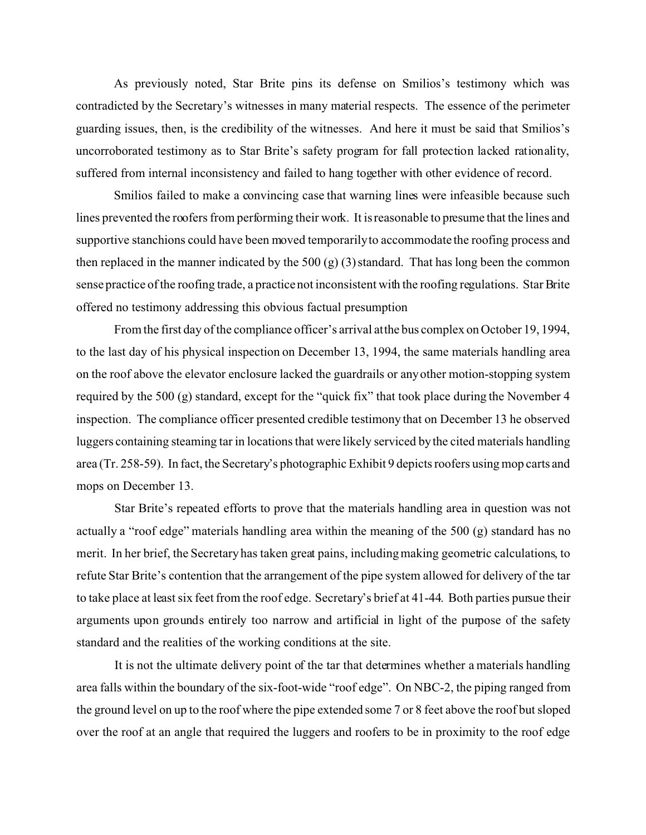As previously noted, Star Brite pins its defense on Smilios's testimony which was contradicted by the Secretary's witnesses in many material respects. The essence of the perimeter guarding issues, then, is the credibility of the witnesses. And here it must be said that Smilios's uncorroborated testimony as to Star Brite's safety program for fall protection lacked rationality, suffered from internal inconsistency and failed to hang together with other evidence of record.

Smilios failed to make a convincing case that warning lines were infeasible because such lines prevented the roofers from performing their work. It is reasonable to presume that the lines and supportive stanchions could have been moved temporarilyto accommodate the roofing process and then replaced in the manner indicated by the 500  $(g)$  (3) standard. That has long been the common sense practice of the roofing trade, a practice not inconsistent with the roofing regulations. Star Brite offered no testimony addressing this obvious factual presumption

From the first day of the compliance officer's arrival atthe bus complex on October 19, 1994, to the last day of his physical inspection on December 13, 1994, the same materials handling area on the roof above the elevator enclosure lacked the guardrails or any other motion-stopping system required by the 500 (g) standard, except for the "quick fix" that took place during the November 4 inspection. The compliance officer presented credible testimony that on December 13 he observed luggers containing steaming tar in locations that were likely serviced by the cited materials handling area (Tr. 258-59). In fact, the Secretary's photographic Exhibit 9 depicts roofers using mop carts and mops on December 13.

Star Brite's repeated efforts to prove that the materials handling area in question was not actually a "roof edge" materials handling area within the meaning of the 500 (g) standard has no merit. In her brief, the Secretary has taken great pains, including making geometric calculations, to refute Star Brite's contention that the arrangement of the pipe system allowed for delivery of the tar to take place at least six feet from the roof edge. Secretary's brief at 41-44. Both parties pursue their arguments upon grounds entirely too narrow and artificial in light of the purpose of the safety standard and the realities of the working conditions at the site.

It is not the ultimate delivery point of the tar that determines whether a materials handling area falls within the boundary of the six-foot-wide "roof edge". On NBC-2, the piping ranged from the ground level on up to the roof where the pipe extended some 7 or 8 feet above the roof but sloped over the roof at an angle that required the luggers and roofers to be in proximity to the roof edge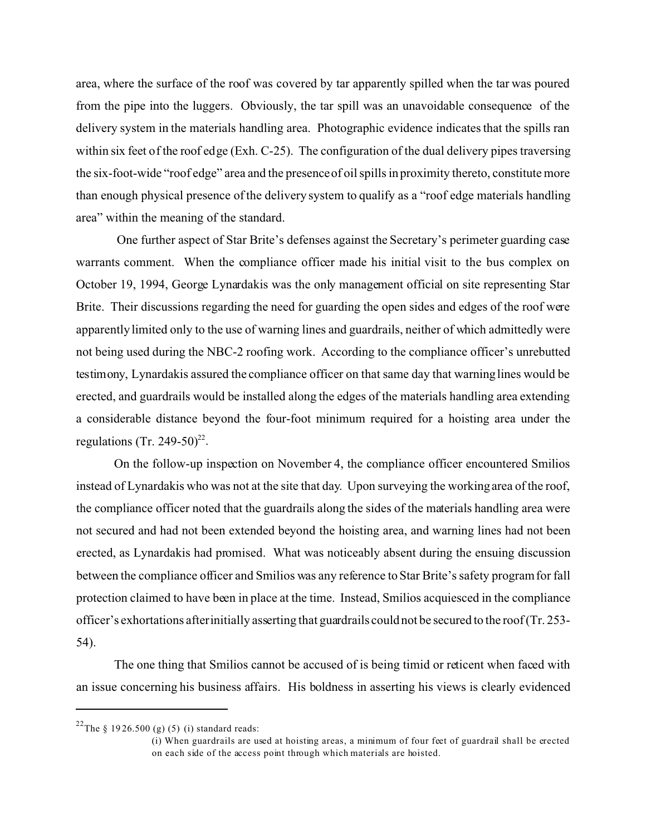area, where the surface of the roof was covered by tar apparently spilled when the tar was poured from the pipe into the luggers. Obviously, the tar spill was an unavoidable consequence of the delivery system in the materials handling area. Photographic evidence indicates that the spills ran within six feet of the roof edge (Exh. C-25). The configuration of the dual delivery pipes traversing the six-foot-wide "roof edge" area and the presence of oil spills in proximity thereto, constitute more than enough physical presence of the delivery system to qualify as a "roof edge materials handling area" within the meaning of the standard.

One further aspect of Star Brite's defenses against the Secretary's perimeter guarding case warrants comment. When the compliance officer made his initial visit to the bus complex on October 19, 1994, George Lynardakis was the only management official on site representing Star Brite. Their discussions regarding the need for guarding the open sides and edges of the roof were apparently limited only to the use of warning lines and guardrails, neither of which admittedly were not being used during the NBC-2 roofing work. According to the compliance officer's unrebutted testimony, Lynardakis assured the compliance officer on that same day that warning lines would be erected, and guardrails would be installed along the edges of the materials handling area extending a considerable distance beyond the four-foot minimum required for a hoisting area under the regulations (Tr. 249-50)<sup>22</sup>.

On the follow-up inspection on November 4, the compliance officer encountered Smilios instead of Lynardakis who was not at the site that day. Upon surveying the working area of the roof, the compliance officer noted that the guardrails along the sides of the materials handling area were not secured and had not been extended beyond the hoisting area, and warning lines had not been erected, as Lynardakis had promised. What was noticeably absent during the ensuing discussion between the compliance officer and Smilios was any reference to Star Brite's safety program for fall protection claimed to have been in place at the time. Instead, Smilios acquiesced in the compliance officer's exhortations afterinitially asserting that guardrails could not be secured to the roof (Tr. 253- 54).

The one thing that Smilios cannot be accused of is being timid or reticent when faced with an issue concerning his business affairs. His boldness in asserting his views is clearly evidenced

<sup>&</sup>lt;sup>22</sup>The § 1926.500 (g) (5) (i) standard reads:

<sup>(</sup>i) When guardrails are used at hoisting areas, a minimum of four feet of guardrail shall be erected on each side of the access point through which materials are hoisted.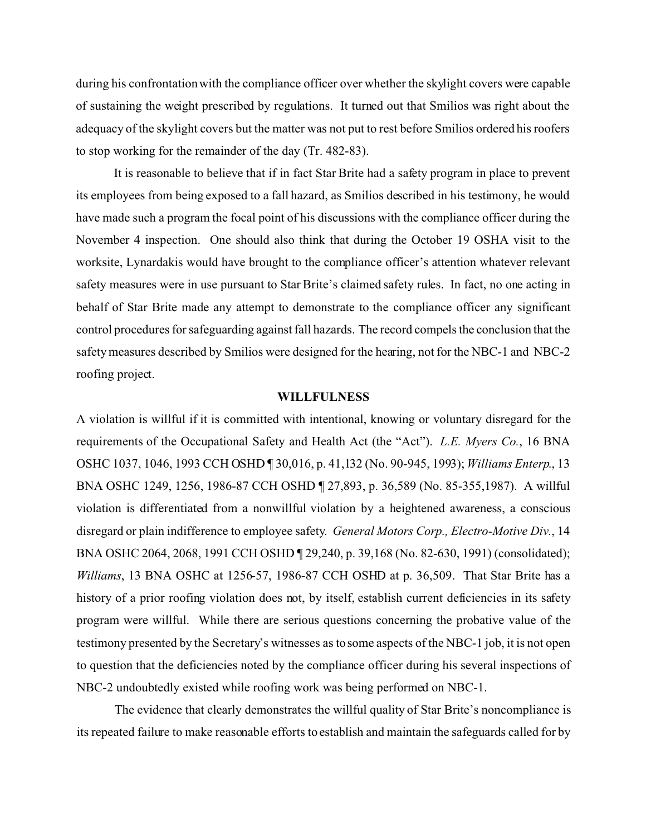during his confrontation with the compliance officer over whether the skylight covers were capable of sustaining the weight prescribed by regulations. It turned out that Smilios was right about the adequacy of the skylight covers but the matter was not put to rest before Smilios ordered his roofers to stop working for the remainder of the day (Tr. 482-83).

It is reasonable to believe that if in fact Star Brite had a safety program in place to prevent its employees from being exposed to a fall hazard, as Smilios described in his testimony, he would have made such a program the focal point of his discussions with the compliance officer during the November 4 inspection. One should also think that during the October 19 OSHA visit to the worksite, Lynardakis would have brought to the compliance officer's attention whatever relevant safety measures were in use pursuant to Star Brite's claimed safety rules. In fact, no one acting in behalf of Star Brite made any attempt to demonstrate to the compliance officer any significant control procedures for safeguarding against fall hazards. The record compels the conclusion that the safety measures described by Smilios were designed for the hearing, not for the NBC-1 and NBC-2 roofing project.

### **WILLFULNESS**

A violation is willful if it is committed with intentional, knowing or voluntary disregard for the requirements of the Occupational Safety and Health Act (the "Act"). *L.E. Myers Co.*, 16 BNA OSHC 1037, 1046, 1993 CCH OSHD ¶ 30,016, p. 41,132 (No. 90-945, 1993); *Williams Enterp*., 13 BNA OSHC 1249, 1256, 1986-87 CCH OSHD ¶ 27,893, p. 36,589 (No. 85-355,1987). A willful violation is differentiated from a nonwillful violation by a heightened awareness, a conscious disregard or plain indifference to employee safety. *General Motors Corp., Electro-Motive Div.*, 14 BNA OSHC 2064, 2068, 1991 CCH OSHD ¶ 29,240, p. 39,168 (No. 82-630, 1991) (consolidated); *Williams*, 13 BNA OSHC at 1256-57, 1986-87 CCH OSHD at p. 36,509. That Star Brite has a history of a prior roofing violation does not, by itself, establish current deficiencies in its safety program were willful. While there are serious questions concerning the probative value of the testimony presented by the Secretary's witnesses as to some aspects of the NBC-1 job, it is not open to question that the deficiencies noted by the compliance officer during his several inspections of NBC-2 undoubtedly existed while roofing work was being performed on NBC-1.

The evidence that clearly demonstrates the willful quality of Star Brite's noncompliance is its repeated failure to make reasonable efforts to establish and maintain the safeguards called for by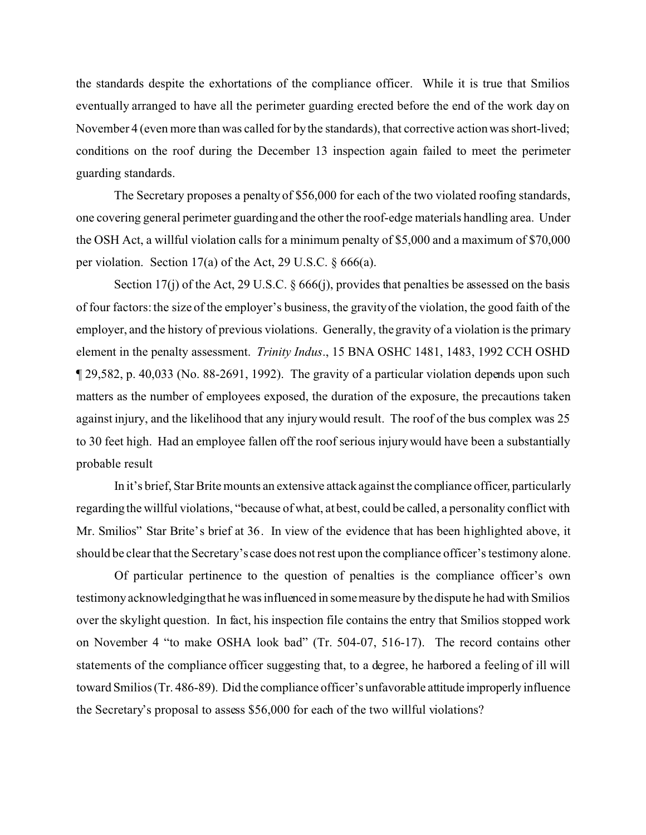the standards despite the exhortations of the compliance officer. While it is true that Smilios eventually arranged to have all the perimeter guarding erected before the end of the work day on November 4 (even more than was called for by the standards), that corrective action was short-lived; conditions on the roof during the December 13 inspection again failed to meet the perimeter guarding standards.

The Secretary proposes a penalty of \$56,000 for each of the two violated roofing standards, one covering general perimeter guarding and the other the roof-edge materials handling area. Under the OSH Act, a willful violation calls for a minimum penalty of \$5,000 and a maximum of \$70,000 per violation. Section 17(a) of the Act, 29 U.S.C. § 666(a).

Section 17(j) of the Act, 29 U.S.C. § 666(j), provides that penalties be assessed on the basis of four factors: the size of the employer's business, the gravity of the violation, the good faith of the employer, and the history of previous violations. Generally, the gravity of a violation is the primary element in the penalty assessment. *Trinity Indus*., 15 BNA OSHC 1481, 1483, 1992 CCH OSHD ¶ 29,582, p. 40,033 (No. 88-2691, 1992). The gravity of a particular violation depends upon such matters as the number of employees exposed, the duration of the exposure, the precautions taken against injury, and the likelihood that any injury would result. The roof of the bus complex was 25 to 30 feet high. Had an employee fallen off the roof serious injury would have been a substantially probable result

In it's brief, Star Brite mounts an extensive attack against the compliance officer, particularly regarding the willful violations, "because of what, at best, could be called, a personality conflict with Mr. Smilios" Star Brite's brief at 36. In view of the evidence that has been highlighted above, it should be clear that the Secretary's case does not rest upon the compliance officer's testimony alone.

Of particular pertinence to the question of penalties is the compliance officer's own testimony acknowledgingthat he was influenced in some measure by the dispute he had with Smilios over the skylight question. In fact, his inspection file contains the entry that Smilios stopped work on November 4 "to make OSHA look bad" (Tr. 504-07, 516-17). The record contains other statements of the compliance officer suggesting that, to a degree, he harbored a feeling of ill will toward Smilios (Tr. 486-89). Did the compliance officer's unfavorable attitude improperly influence the Secretary's proposal to assess \$56,000 for each of the two willful violations?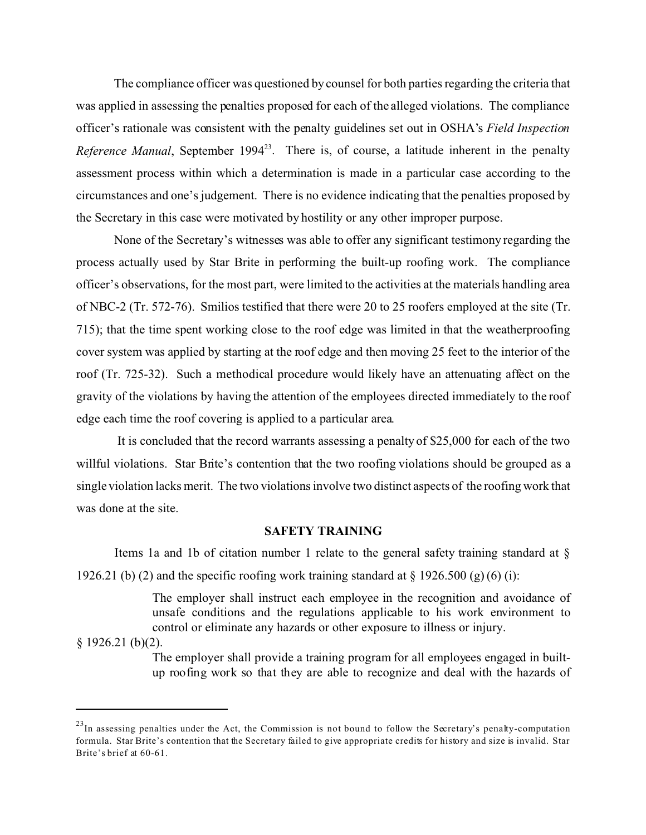The compliance officer was questioned by counsel for both parties regarding the criteria that was applied in assessing the penalties proposed for each of the alleged violations. The compliance officer's rationale was consistent with the penalty guidelines set out in OSHA's *Field Inspection Reference Manual*, September 1994<sup>23</sup>. There is, of course, a latitude inherent in the penalty assessment process within which a determination is made in a particular case according to the circumstances and one's judgement. There is no evidence indicating that the penalties proposed by the Secretary in this case were motivated by hostility or any other improper purpose.

None of the Secretary's witnesses was able to offer any significant testimony regarding the process actually used by Star Brite in performing the built-up roofing work. The compliance officer's observations, for the most part, were limited to the activities at the materials handling area of NBC-2 (Tr. 572-76). Smilios testified that there were 20 to 25 roofers employed at the site (Tr. 715); that the time spent working close to the roof edge was limited in that the weatherproofing cover system was applied by starting at the roof edge and then moving 25 feet to the interior of the roof (Tr. 725-32). Such a methodical procedure would likely have an attenuating affect on the gravity of the violations by having the attention of the employees directed immediately to the roof edge each time the roof covering is applied to a particular area.

It is concluded that the record warrants assessing a penalty of \$25,000 for each of the two willful violations. Star Brite's contention that the two roofing violations should be grouped as a single violation lacks merit. The two violations involve two distinct aspects of the roofing work that was done at the site.

## **SAFETY TRAINING**

Items 1a and 1b of citation number 1 relate to the general safety training standard at  $\S$ 1926.21 (b) (2) and the specific roofing work training standard at  $\S$  1926.500 (g) (6) (i):

> The employer shall instruct each employee in the recognition and avoidance of unsafe conditions and the regulations applicable to his work environment to control or eliminate any hazards or other exposure to illness or injury.

§ 1926.21 (b)(2).

The employer shall provide a training program for all employees engaged in builtup roofing work so that they are able to recognize and deal with the hazards of

 $^{23}$ In assessing penalties under the Act, the Commission is not bound to follow the Secretary's penalty-computation formula. Star Brite's contention that the Secretary failed to give appropriate credits for history and size is invalid. Star Brite's brief at 60-61.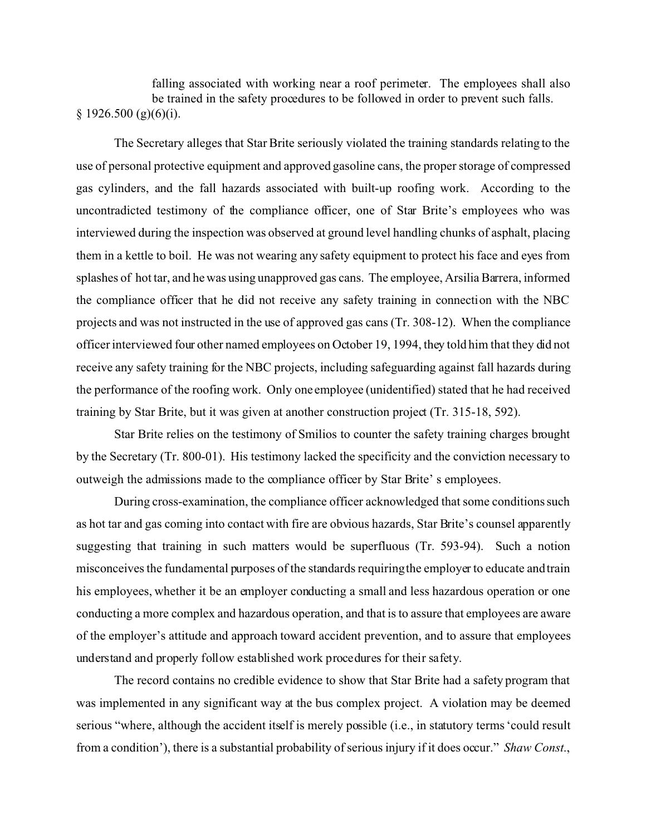falling associated with working near a roof perimeter. The employees shall also be trained in the safety procedures to be followed in order to prevent such falls.  $§$  1926.500 (g)(6)(i).

The Secretary alleges that Star Brite seriously violated the training standards relating to the use of personal protective equipment and approved gasoline cans, the proper storage of compressed gas cylinders, and the fall hazards associated with built-up roofing work. According to the uncontradicted testimony of the compliance officer, one of Star Brite's employees who was interviewed during the inspection was observed at ground level handling chunks of asphalt, placing them in a kettle to boil. He was not wearing any safety equipment to protect his face and eyes from splashes of hot tar, and he was using unapproved gas cans. The employee, Arsilia Barrera, informed the compliance officer that he did not receive any safety training in connection with the NBC projects and was not instructed in the use of approved gas cans (Tr. 308-12). When the compliance officer interviewed four other named employees on October 19, 1994, they told him that they did not receive any safety training for the NBC projects, including safeguarding against fall hazards during the performance of the roofing work. Only one employee (unidentified) stated that he had received training by Star Brite, but it was given at another construction project (Tr. 315-18, 592).

Star Brite relies on the testimony of Smilios to counter the safety training charges brought by the Secretary (Tr. 800-01). His testimony lacked the specificity and the conviction necessary to outweigh the admissions made to the compliance officer by Star Brite' s employees.

During cross-examination, the compliance officer acknowledged that some conditions such as hot tar and gas coming into contact with fire are obvious hazards, Star Brite's counsel apparently suggesting that training in such matters would be superfluous (Tr. 593-94). Such a notion misconceives the fundamental purposes of the standards requiringthe employer to educate and train his employees, whether it be an employer conducting a small and less hazardous operation or one conducting a more complex and hazardous operation, and that is to assure that employees are aware of the employer's attitude and approach toward accident prevention, and to assure that employees understand and properly follow established work procedures for their safety.

The record contains no credible evidence to show that Star Brite had a safety program that was implemented in any significant way at the bus complex project. A violation may be deemed serious "where, although the accident itself is merely possible (i.e., in statutory terms 'could result from a condition'), there is a substantial probability of serious injury if it does occur." *Shaw Const*.,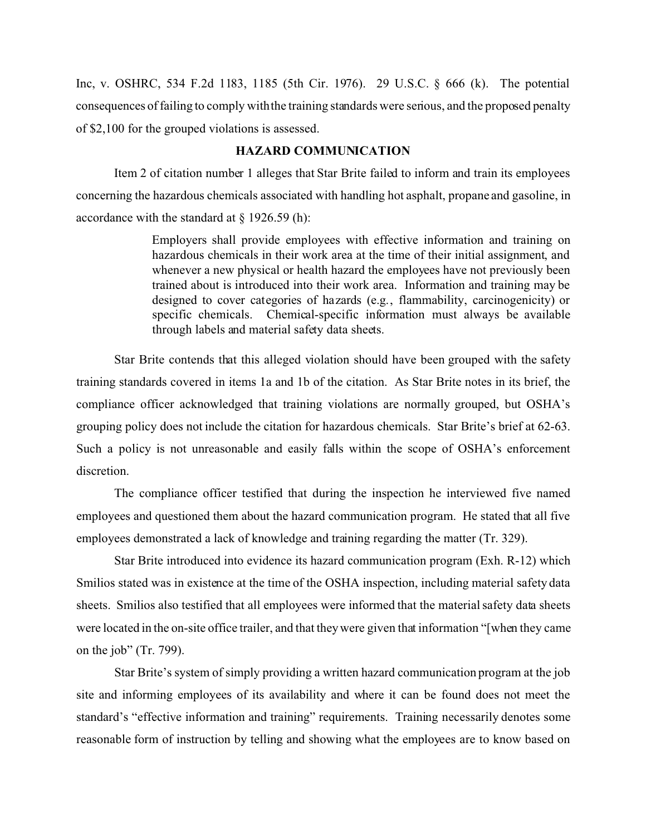Inc, v. OSHRC, 534 F.2d 1183, 1185 (5th Cir. 1976). 29 U.S.C. § 666 (k). The potential consequences of failing to comply withthe training standards were serious, and the proposed penalty of \$2,100 for the grouped violations is assessed.

## **HAZARD COMMUNICATION**

Item 2 of citation number 1 alleges that Star Brite failed to inform and train its employees concerning the hazardous chemicals associated with handling hot asphalt, propane and gasoline, in accordance with the standard at  $\S$  1926.59 (h):

> Employers shall provide employees with effective information and training on hazardous chemicals in their work area at the time of their initial assignment, and whenever a new physical or health hazard the employees have not previously been trained about is introduced into their work area. Information and training may be designed to cover categories of hazards (e.g., flammability, carcinogenicity) or specific chemicals. Chemical-specific information must always be available through labels and material safety data sheets.

Star Brite contends that this alleged violation should have been grouped with the safety training standards covered in items 1a and 1b of the citation. As Star Brite notes in its brief, the compliance officer acknowledged that training violations are normally grouped, but OSHA's grouping policy does not include the citation for hazardous chemicals. Star Brite's brief at 62-63. Such a policy is not unreasonable and easily falls within the scope of OSHA's enforcement discretion.

The compliance officer testified that during the inspection he interviewed five named employees and questioned them about the hazard communication program. He stated that all five employees demonstrated a lack of knowledge and training regarding the matter (Tr. 329).

Star Brite introduced into evidence its hazard communication program (Exh. R-12) which Smilios stated was in existence at the time of the OSHA inspection, including material safety data sheets. Smilios also testified that all employees were informed that the material safety data sheets were located in the on-site office trailer, and that they were given that information "[when they came on the job" (Tr. 799).

Star Brite's system of simply providing a written hazard communication program at the job site and informing employees of its availability and where it can be found does not meet the standard's "effective information and training" requirements. Training necessarily denotes some reasonable form of instruction by telling and showing what the employees are to know based on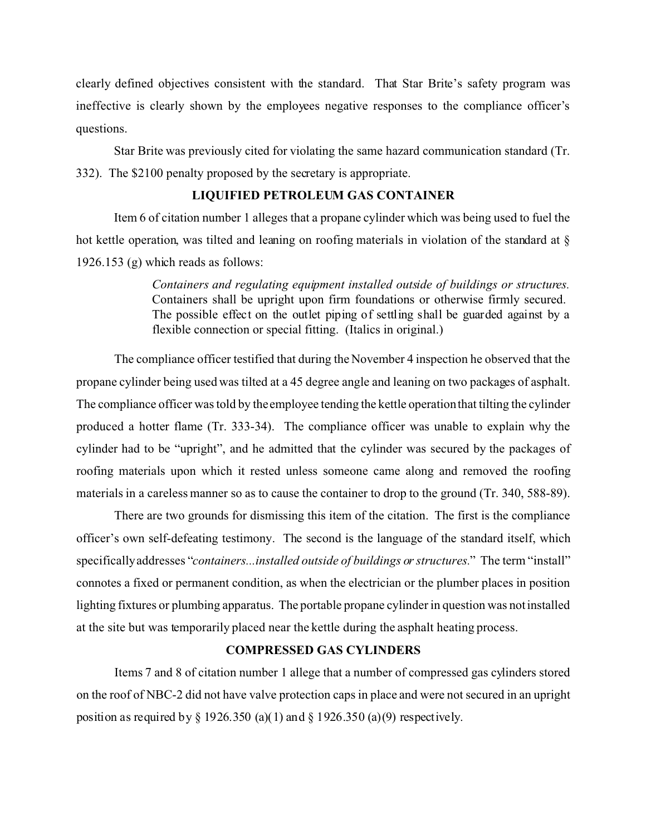clearly defined objectives consistent with the standard. That Star Brite's safety program was ineffective is clearly shown by the employees negative responses to the compliance officer's questions.

Star Brite was previously cited for violating the same hazard communication standard (Tr. 332). The \$2100 penalty proposed by the secretary is appropriate.

## **LIQUIFIED PETROLEUM GAS CONTAINER**

Item 6 of citation number 1 alleges that a propane cylinder which was being used to fuel the hot kettle operation, was tilted and leaning on roofing materials in violation of the standard at § 1926.153 (g) which reads as follows:

> *Containers and regulating equipment installed outside of buildings or structures.*  Containers shall be upright upon firm foundations or otherwise firmly secured. The possible effect on the outlet piping of settling shall be guarded against by a flexible connection or special fitting. (Italics in original.)

The compliance officer testified that during the November 4 inspection he observed that the propane cylinder being used was tilted at a 45 degree angle and leaning on two packages of asphalt. The compliance officer was told by the employee tending the kettle operation that tilting the cylinder produced a hotter flame (Tr. 333-34). The compliance officer was unable to explain why the cylinder had to be "upright", and he admitted that the cylinder was secured by the packages of roofing materials upon which it rested unless someone came along and removed the roofing materials in a careless manner so as to cause the container to drop to the ground (Tr. 340, 588-89).

There are two grounds for dismissing this item of the citation. The first is the compliance officer's own self-defeating testimony. The second is the language of the standard itself, which specificallyaddresses "*containers...installed outside of buildings or structures.*" The term "install" connotes a fixed or permanent condition, as when the electrician or the plumber places in position lighting fixtures or plumbing apparatus. The portable propane cylinder in question was not installed at the site but was temporarily placed near the kettle during the asphalt heating process.

## **COMPRESSED GAS CYLINDERS**

Items 7 and 8 of citation number 1 allege that a number of compressed gas cylinders stored on the roof of NBC-2 did not have valve protection caps in place and were not secured in an upright position as required by  $\S$  1926.350 (a)(1) and  $\S$  1926.350 (a)(9) respectively.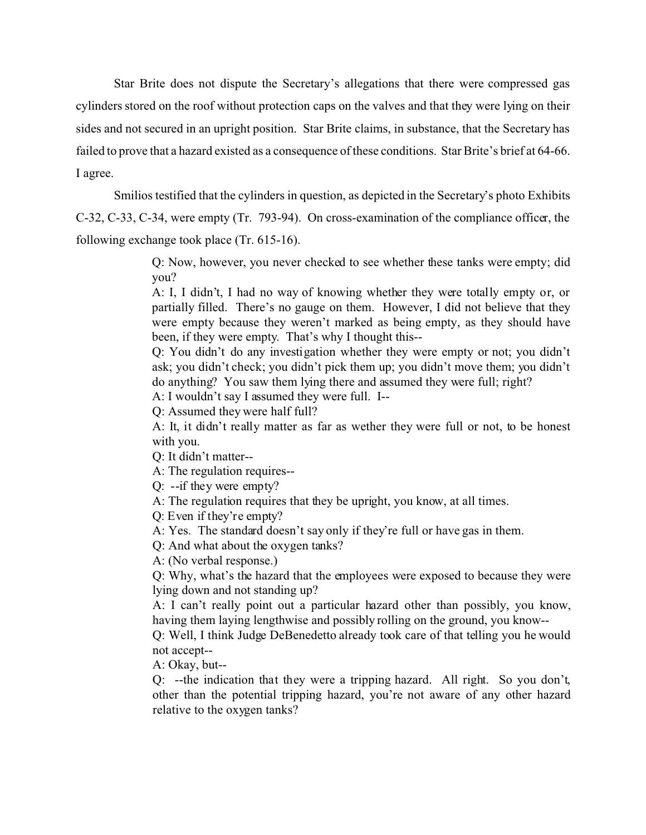Star Brite does not dispute the Secretary's allegations that there were compressed gas cylinders stored on the roof without protection caps on the valves and that they were lying on their sides and not secured in an upright position. Star Brite claims, in substance, that the Secretary has failed to prove that a hazard existed as a consequence of these conditions. Star Brite's brief at 64-66. I agree.

Smilios testified that the cylinders in question, as depicted in the Secretary's photo Exhibits C-32, C-33, C-34, were empty (Tr. 793-94). On cross-examination of the compliance officer, the following exchange took place (Tr. 615-16).

> Q: Now, however, you never checked to see whether these tanks were empty; did you?

> A: I, I didn't, I had no way of knowing whether they were totally empty or, or partially filled. There's no gauge on them. However, I did not believe that they were empty because they weren't marked as being empty, as they should have been, if they were empty. That's why I thought this--

> Q: You didn't do any investigation whether they were empty or not; you didn't ask; you didn't check; you didn't pick them up; you didn't move them; you didn't do anything? You saw them lying there and assumed they were full; right?

A: I wouldn't say I assumed they were full. I--

Q: Assumed they were half full?

A: It, it didn't really matter as far as wether they were full or not, to be honest with you.

Q: It didn't matter-

A: The regulation requires--

Q: --if they were empty?

A: The regulation requires that they be upright, you know, at all times.

Q: Even if they're empty?

A: Yes. The standard doesn't say only if they're full or have gas in them.

Q: And what about the oxygen tanks?

A: (No verbal response.)

Q: Why, what's the hazard that the employees were exposed to because they were lying down and not standing up?

A: I can't really point out a particular hazard other than possibly, you know, having them laying lengthwise and possibly rolling on the ground, you know--

Q: Well, I think Judge DeBenedetto already took care of that telling you he would not accept-

A: Okay, but--

Q: --the indication that they were a tripping hazard. All right. So you don't, other than the potential tripping hazard, you're not aware of any other hazard relative to the oxygen tanks?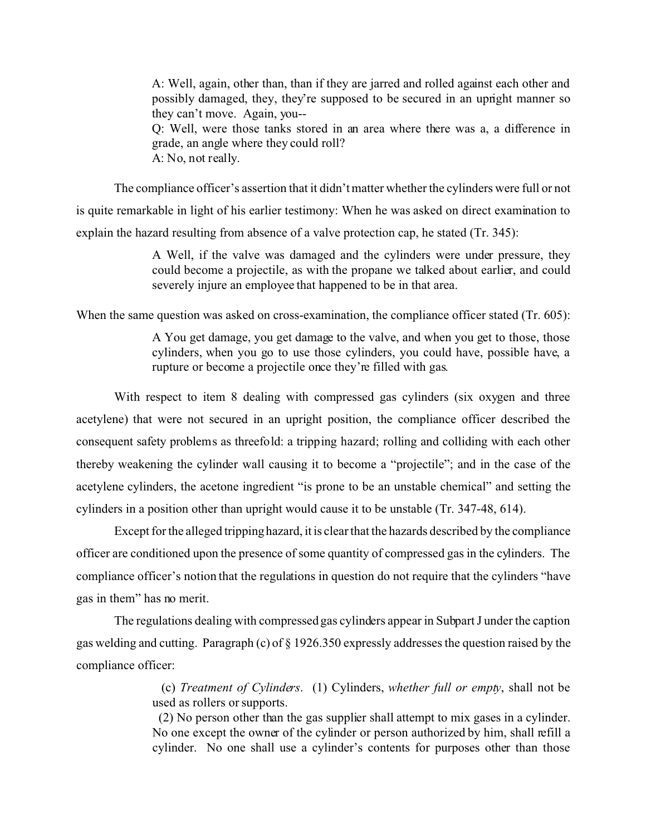A: Well, again, other than, than if they are jarred and rolled against each other and possibly damaged, they, they're supposed to be secured in an upright manner so they can't move. Again, you--

Q: Well, were those tanks stored in an area where there was a, a difference in grade, an angle where they could roll? A: No, not really.

The compliance officer's assertion that it didn't matter whether the cylinders were full or not is quite remarkable in light of his earlier testimony: When he was asked on direct examination to explain the hazard resulting from absence of a valve protection cap, he stated (Tr. 345):

> A Well, if the valve was damaged and the cylinders were under pressure, they could become a projectile, as with the propane we talked about earlier, and could severely injure an employee that happened to be in that area.

When the same question was asked on cross-examination, the compliance officer stated (Tr. 605):

A You get damage, you get damage to the valve, and when you get to those, those cylinders, when you go to use those cylinders, you could have, possible have, a rupture or become a projectile once they're filled with gas.

With respect to item 8 dealing with compressed gas cylinders (six oxygen and three acetylene) that were not secured in an upright position, the compliance officer described the consequent safety problems as threefold: a tripping hazard; rolling and colliding with each other thereby weakening the cylinder wall causing it to become a "projectile"; and in the case of the acetylene cylinders, the acetone ingredient "is prone to be an unstable chemical" and setting the cylinders in a position other than upright would cause it to be unstable (Tr. 347-48, 614).

Except for the alleged tripping hazard, it is clear that the hazards described by the compliance officer are conditioned upon the presence of some quantity of compressed gas in the cylinders. The compliance officer's notion that the regulations in question do not require that the cylinders "have gas in them" has no merit.

The regulations dealing with compressed gas cylinders appear in Subpart J under the caption gas welding and cutting. Paragraph (c) of § 1926.350 expressly addresses the question raised by the compliance officer:

> (c) *Treatment of Cylinders*. (1) Cylinders, *whether full or empty*, shall not be used as rollers or supports.

> (2) No person other than the gas supplier shall attempt to mix gases in a cylinder. No one except the owner of the cylinder or person authorized by him, shall refill a cylinder. No one shall use a cylinder's contents for purposes other than those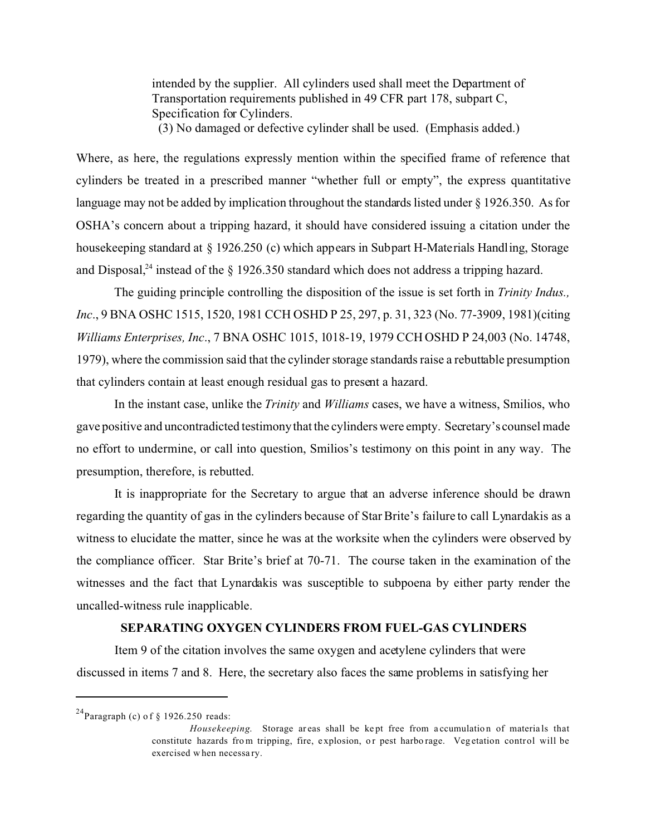intended by the supplier. All cylinders used shall meet the Department of Transportation requirements published in 49 CFR part 178, subpart C, Specification for Cylinders.

(3) No damaged or defective cylinder shall be used. (Emphasis added.)

Where, as here, the regulations expressly mention within the specified frame of reference that cylinders be treated in a prescribed manner "whether full or empty", the express quantitative language may not be added by implication throughout the standards listed under § 1926.350. As for OSHA's concern about a tripping hazard, it should have considered issuing a citation under the housekeeping standard at § 1926.250 (c) which appears in Subpart H-Materials Handling, Storage and Disposal,<sup>24</sup> instead of the  $\S$  1926.350 standard which does not address a tripping hazard.

The guiding principle controlling the disposition of the issue is set forth in *Trinity Indus., Inc*., 9 BNA OSHC 1515, 1520, 1981 CCH OSHD P 25, 297, p. 31, 323 (No. 77-3909, 1981)(citing *Williams Enterprises, Inc*., 7 BNA OSHC 1015, 1018-19, 1979 CCH OSHD P 24,003 (No. 14748, 1979), where the commission said that the cylinder storage standards raise a rebuttable presumption that cylinders contain at least enough residual gas to present a hazard.

In the instant case, unlike the *Trinity* and *Williams* cases, we have a witness, Smilios, who gave positive and uncontradicted testimony that the cylinders were empty. Secretary's counsel made no effort to undermine, or call into question, Smilios's testimony on this point in any way. The presumption, therefore, is rebutted.

It is inappropriate for the Secretary to argue that an adverse inference should be drawn regarding the quantity of gas in the cylinders because of Star Brite's failure to call Lynardakis as a witness to elucidate the matter, since he was at the worksite when the cylinders were observed by the compliance officer. Star Brite's brief at 70-71. The course taken in the examination of the witnesses and the fact that Lynardakis was susceptible to subpoena by either party render the uncalled-witness rule inapplicable.

## **SEPARATING OXYGEN CYLINDERS FROM FUEL-GAS CYLINDERS**

Item 9 of the citation involves the same oxygen and acetylene cylinders that were discussed in items 7 and 8. Here, the secretary also faces the same problems in satisfying her

<sup>&</sup>lt;sup>24</sup>Paragraph (c) of  $\S$  1926.250 reads:

*Housekeeping.* Storage areas shall be kept free from accumulation of materials that constitute hazards from tripping, fire, explosion, or pest harborage. Vegetation control will be exercised w hen necessa ry.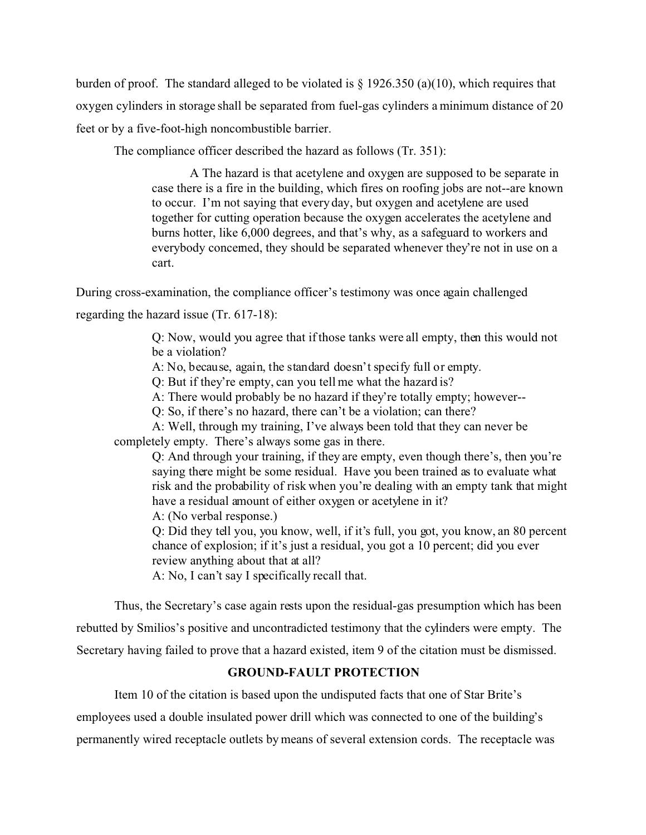burden of proof. The standard alleged to be violated is  $\S$  1926.350 (a)(10), which requires that oxygen cylinders in storage shall be separated from fuel-gas cylinders a minimum distance of 20 feet or by a five-foot-high noncombustible barrier.

The compliance officer described the hazard as follows (Tr. 351):

A The hazard is that acetylene and oxygen are supposed to be separate in case there is a fire in the building, which fires on roofing jobs are not--are known to occur. I'm not saying that every day, but oxygen and acetylene are used together for cutting operation because the oxygen accelerates the acetylene and burns hotter, like 6,000 degrees, and that's why, as a safeguard to workers and everybody concerned, they should be separated whenever they're not in use on a cart.

During cross-examination, the compliance officer's testimony was once again challenged regarding the hazard issue (Tr. 617-18):

> Q: Now, would you agree that if those tanks were all empty, then this would not be a violation?

A: No, because, again, the standard doesn't specify full or empty.

Q: But if they're empty, can you tell me what the hazard is?

A: There would probably be no hazard if they're totally empty; however--

Q: So, if there's no hazard, there can't be a violation; can there?

A: Well, through my training, I've always been told that they can never be completely empty. There's always some gas in there.

Q: And through your training, if they are empty, even though there's, then you're saying there might be some residual. Have you been trained as to evaluate what risk and the probability of risk when you're dealing with an empty tank that might have a residual amount of either oxygen or acetylene in it? A: (No verbal response.)

Q: Did they tell you, you know, well, if it's full, you got, you know, an 80 percent chance of explosion; if it's just a residual, you got a 10 percent; did you ever review anything about that at all?

A: No, I can't say I specifically recall that.

Thus, the Secretary's case again rests upon the residual-gas presumption which has been rebutted by Smilios's positive and uncontradicted testimony that the cylinders were empty. The Secretary having failed to prove that a hazard existed, item 9 of the citation must be dismissed.

# **GROUND-FAULT PROTECTION**

Item 10 of the citation is based upon the undisputed facts that one of Star Brite's

employees used a double insulated power drill which was connected to one of the building's

permanently wired receptacle outlets by means of several extension cords. The receptacle was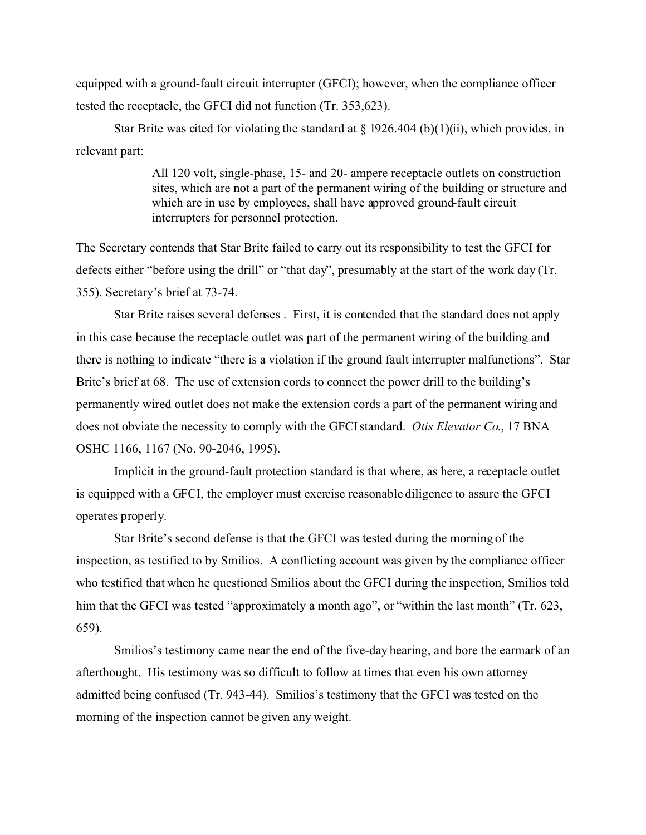equipped with a ground-fault circuit interrupter (GFCI); however, when the compliance officer tested the receptacle, the GFCI did not function (Tr. 353,623).

Star Brite was cited for violating the standard at  $\S$  1926.404 (b)(1)(ii), which provides, in relevant part:

> All 120 volt, single-phase, 15- and 20- ampere receptacle outlets on construction sites, which are not a part of the permanent wiring of the building or structure and which are in use by employees, shall have approved ground-fault circuit interrupters for personnel protection.

The Secretary contends that Star Brite failed to carry out its responsibility to test the GFCI for defects either "before using the drill" or "that day", presumably at the start of the work day (Tr. 355). Secretary's brief at 73-74.

Star Brite raises several defenses . First, it is contended that the standard does not apply in this case because the receptacle outlet was part of the permanent wiring of the building and there is nothing to indicate "there is a violation if the ground fault interrupter malfunctions". Star Brite's brief at 68. The use of extension cords to connect the power drill to the building's permanently wired outlet does not make the extension cords a part of the permanent wiring and does not obviate the necessity to comply with the GFCI standard. *Otis Elevator Co*., 17 BNA OSHC 1166, 1167 (No. 90-2046, 1995).

Implicit in the ground-fault protection standard is that where, as here, a receptacle outlet is equipped with a GFCI, the employer must exercise reasonable diligence to assure the GFCI operates properly.

Star Brite's second defense is that the GFCI was tested during the morning of the inspection, as testified to by Smilios. A conflicting account was given by the compliance officer who testified that when he questioned Smilios about the GFCI during the inspection, Smilios told him that the GFCI was tested "approximately a month ago", or "within the last month" (Tr. 623, 659).

Smilios's testimony came near the end of the five-day hearing, and bore the earmark of an afterthought. His testimony was so difficult to follow at times that even his own attorney admitted being confused (Tr. 943-44). Smilios's testimony that the GFCI was tested on the morning of the inspection cannot be given any weight.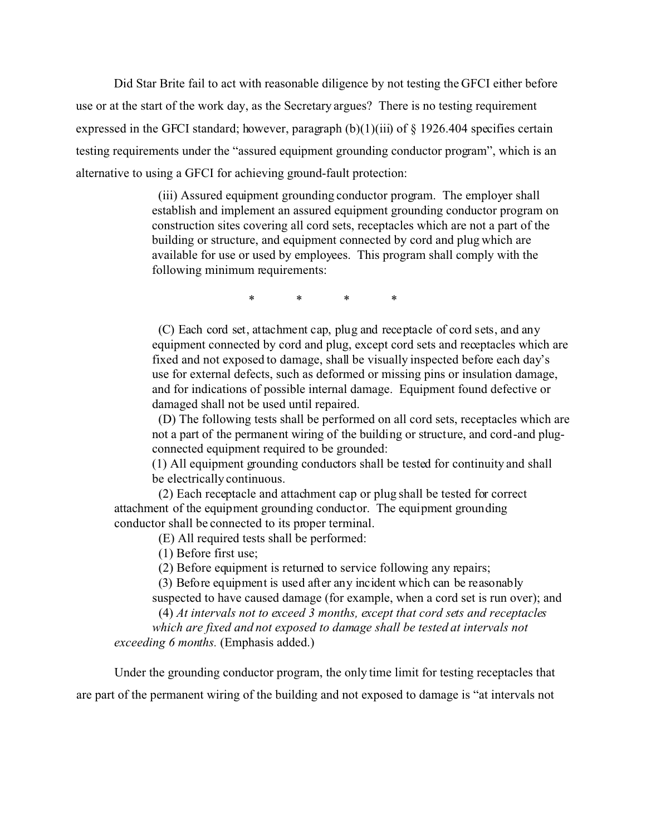Did Star Brite fail to act with reasonable diligence by not testing the GFCI either before use or at the start of the work day, as the Secretary argues? There is no testing requirement expressed in the GFCI standard; however, paragraph  $(b)(1)(iii)$  of  $\S$  1926.404 specifies certain testing requirements under the "assured equipment grounding conductor program", which is an alternative to using a GFCI for achieving ground-fault protection:

> (iii) Assured equipment grounding conductor program. The employer shall establish and implement an assured equipment grounding conductor program on construction sites covering all cord sets, receptacles which are not a part of the building or structure, and equipment connected by cord and plug which are available for use or used by employees. This program shall comply with the following minimum requirements:

> > \* \* \* \*

(C) Each cord set, attachment cap, plug and receptacle of cord sets, and any equipment connected by cord and plug, except cord sets and receptacles which are fixed and not exposed to damage, shall be visually inspected before each day's use for external defects, such as deformed or missing pins or insulation damage, and for indications of possible internal damage. Equipment found defective or damaged shall not be used until repaired.

(D) The following tests shall be performed on all cord sets, receptacles which are not a part of the permanent wiring of the building or structure, and cord-and plugconnected equipment required to be grounded:

(1) All equipment grounding conductors shall be tested for continuity and shall be electrically continuous.

(2) Each receptacle and attachment cap or plug shall be tested for correct attachment of the equipment grounding conductor. The equipment grounding conductor shall be connected to its proper terminal.

(E) All required tests shall be performed:

(1) Before first use;

(2) Before equipment is returned to service following any repairs;

(3) Before equipment is used after any incident which can be reasonably suspected to have caused damage (for example, when a cord set is run over); and

(4) *At intervals not to exceed 3 months, except that cord sets and receptacles* 

*which are fixed and not exposed to damage shall be tested at intervals not exceeding 6 months.* (Emphasis added.)

Under the grounding conductor program, the only time limit for testing receptacles that are part of the permanent wiring of the building and not exposed to damage is "at intervals not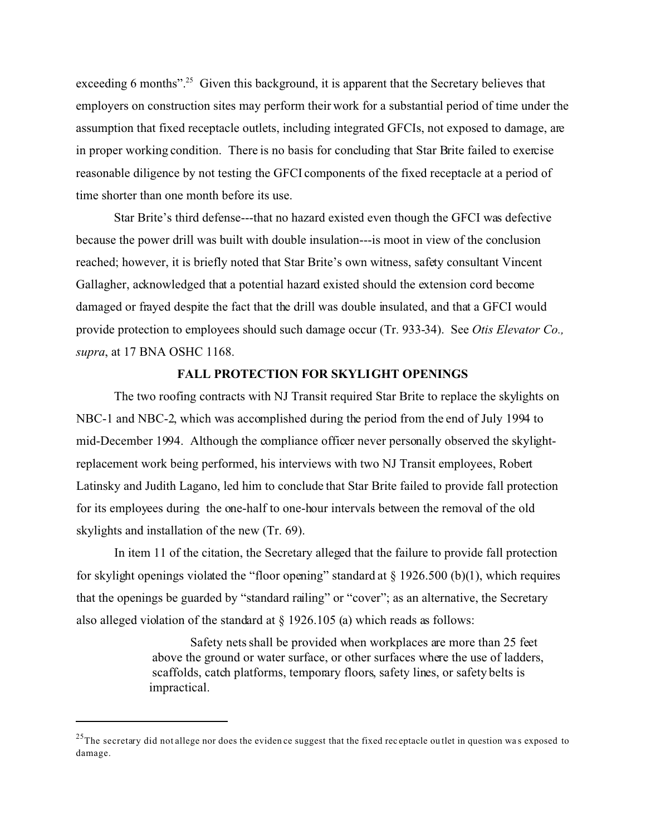exceeding 6 months"<sup>25</sup> Given this background, it is apparent that the Secretary believes that employers on construction sites may perform their work for a substantial period of time under the assumption that fixed receptacle outlets, including integrated GFCIs, not exposed to damage, are in proper working condition. There is no basis for concluding that Star Brite failed to exercise reasonable diligence by not testing the GFCI components of the fixed receptacle at a period of time shorter than one month before its use.

Star Brite's third defense---that no hazard existed even though the GFCI was defective because the power drill was built with double insulation---is moot in view of the conclusion reached; however, it is briefly noted that Star Brite's own witness, safety consultant Vincent Gallagher, acknowledged that a potential hazard existed should the extension cord become damaged or frayed despite the fact that the drill was double insulated, and that a GFCI would provide protection to employees should such damage occur (Tr. 933-34). See *Otis Elevator Co., supra*, at 17 BNA OSHC 1168.

## **FALL PROTECTION FOR SKYLIGHT OPENINGS**

The two roofing contracts with NJ Transit required Star Brite to replace the skylights on NBC-1 and NBC-2, which was accomplished during the period from the end of July 1994 to mid-December 1994. Although the compliance officer never personally observed the skylightreplacement work being performed, his interviews with two NJ Transit employees, Robert Latinsky and Judith Lagano, led him to conclude that Star Brite failed to provide fall protection for its employees during the one-half to one-hour intervals between the removal of the old skylights and installation of the new (Tr. 69).

In item 11 of the citation, the Secretary alleged that the failure to provide fall protection for skylight openings violated the "floor opening" standard at  $\S$  1926.500 (b)(1), which requires that the openings be guarded by "standard railing" or "cover"; as an alternative, the Secretary also alleged violation of the standard at  $\S$  1926.105 (a) which reads as follows:

> Safety nets shall be provided when workplaces are more than 25 feet above the ground or water surface, or other surfaces where the use of ladders, scaffolds, catch platforms, temporary floors, safety lines, or safety belts is impractical.

 $^{25}$ The secretary did not allege nor does the evidence suggest that the fixed receptacle outlet in question was exposed to damage.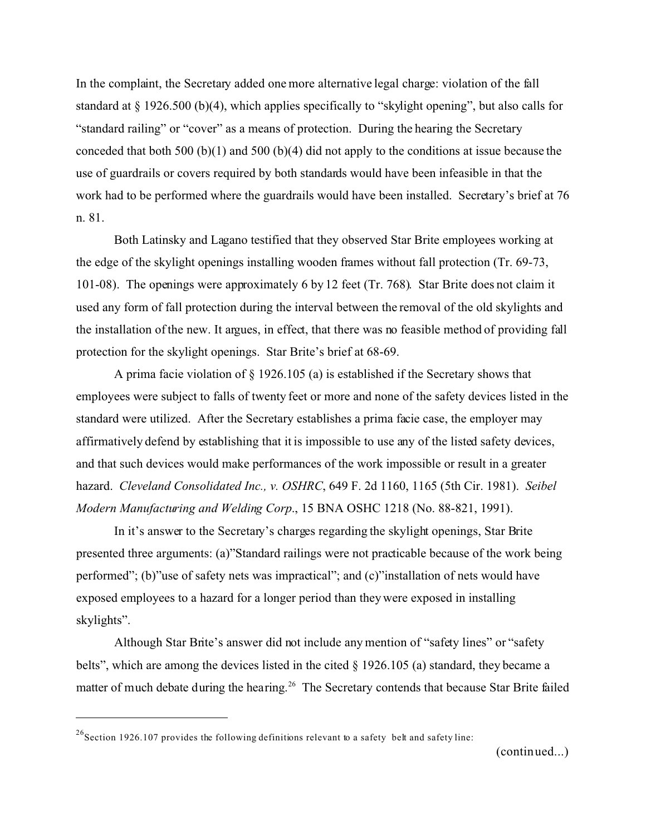In the complaint, the Secretary added one more alternative legal charge: violation of the fall standard at § 1926.500 (b)(4), which applies specifically to "skylight opening", but also calls for "standard railing" or "cover" as a means of protection. During the hearing the Secretary conceded that both 500 (b)(1) and 500 (b)(4) did not apply to the conditions at issue because the use of guardrails or covers required by both standards would have been infeasible in that the work had to be performed where the guardrails would have been installed. Secretary's brief at 76 n. 81.

Both Latinsky and Lagano testified that they observed Star Brite employees working at the edge of the skylight openings installing wooden frames without fall protection (Tr. 69-73, 101-08). The openings were approximately 6 by 12 feet (Tr. 768). Star Brite does not claim it used any form of fall protection during the interval between the removal of the old skylights and the installation of the new. It argues, in effect, that there was no feasible method of providing fall protection for the skylight openings. Star Brite's brief at 68-69.

A prima facie violation of § 1926.105 (a) is established if the Secretary shows that employees were subject to falls of twenty feet or more and none of the safety devices listed in the standard were utilized. After the Secretary establishes a prima facie case, the employer may affirmatively defend by establishing that it is impossible to use any of the listed safety devices, and that such devices would make performances of the work impossible or result in a greater hazard. *Cleveland Consolidated Inc., v. OSHRC*, 649 F. 2d 1160, 1165 (5th Cir. 1981). *Seibel Modern Manufacturing and Welding Corp*., 15 BNA OSHC 1218 (No. 88-821, 1991).

In it's answer to the Secretary's charges regarding the skylight openings, Star Brite presented three arguments: (a)"Standard railings were not practicable because of the work being performed"; (b)"use of safety nets was impractical"; and (c)"installation of nets would have exposed employees to a hazard for a longer period than they were exposed in installing skylights".

Although Star Brite's answer did not include any mention of "safety lines" or "safety belts", which are among the devices listed in the cited § 1926.105 (a) standard, they became a matter of much debate during the hearing.<sup>26</sup> The Secretary contends that because Star Brite failed

(continued...)

 $^{26}$ Section 1926.107 provides the following definitions relevant to a safety belt and safety line: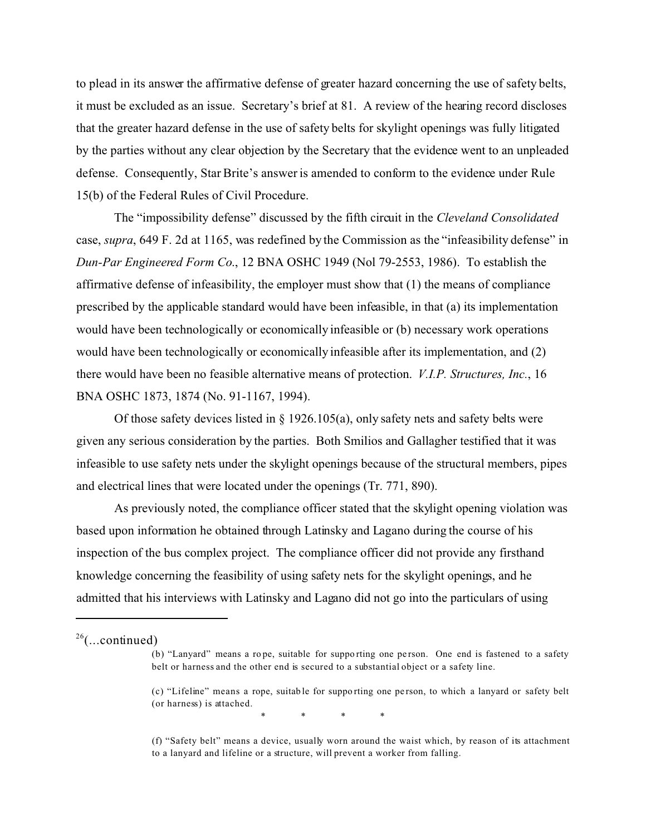to plead in its answer the affirmative defense of greater hazard concerning the use of safety belts, it must be excluded as an issue. Secretary's brief at 81. A review of the hearing record discloses that the greater hazard defense in the use of safety belts for skylight openings was fully litigated by the parties without any clear objection by the Secretary that the evidence went to an unpleaded defense. Consequently, Star Brite's answer is amended to conform to the evidence under Rule 15(b) of the Federal Rules of Civil Procedure.

The "impossibility defense" discussed by the fifth circuit in the *Cleveland Consolidated*  case, *supra*, 649 F. 2d at 1165, was redefined by the Commission as the "infeasibility defense" in *Dun-Par Engineered Form Co*., 12 BNA OSHC 1949 (Nol 79-2553, 1986). To establish the affirmative defense of infeasibility, the employer must show that (1) the means of compliance prescribed by the applicable standard would have been infeasible, in that (a) its implementation would have been technologically or economically infeasible or (b) necessary work operations would have been technologically or economically infeasible after its implementation, and (2) there would have been no feasible alternative means of protection. *V.I.P. Structures, Inc.*, 16 BNA OSHC 1873, 1874 (No. 91-1167, 1994).

Of those safety devices listed in  $\S$  1926.105(a), only safety nets and safety belts were given any serious consideration by the parties. Both Smilios and Gallagher testified that it was infeasible to use safety nets under the skylight openings because of the structural members, pipes and electrical lines that were located under the openings (Tr. 771, 890).

As previously noted, the compliance officer stated that the skylight opening violation was based upon information he obtained through Latinsky and Lagano during the course of his inspection of the bus complex project. The compliance officer did not provide any firsthand knowledge concerning the feasibility of using safety nets for the skylight openings, and he admitted that his interviews with Latinsky and Lagano did not go into the particulars of using

\* \* \* \*

 $26$ (...continued)

<sup>(</sup>b) "Lanyard" means a rope, suitable for supporting one person. One end is fastened to a safety belt or harness and the other end is secured to a substantial object or a safety line.

<sup>(</sup>c) "Lifeline" means a rope, suitab le for suppo rting one pe rson, to which a lanyard or safety belt (or harness) is attached.

<sup>(</sup>f) "Safety belt" means a device, usually worn around the waist which, by reason of its attachment to a lanyard and lifeline or a structure, will prevent a worker from falling.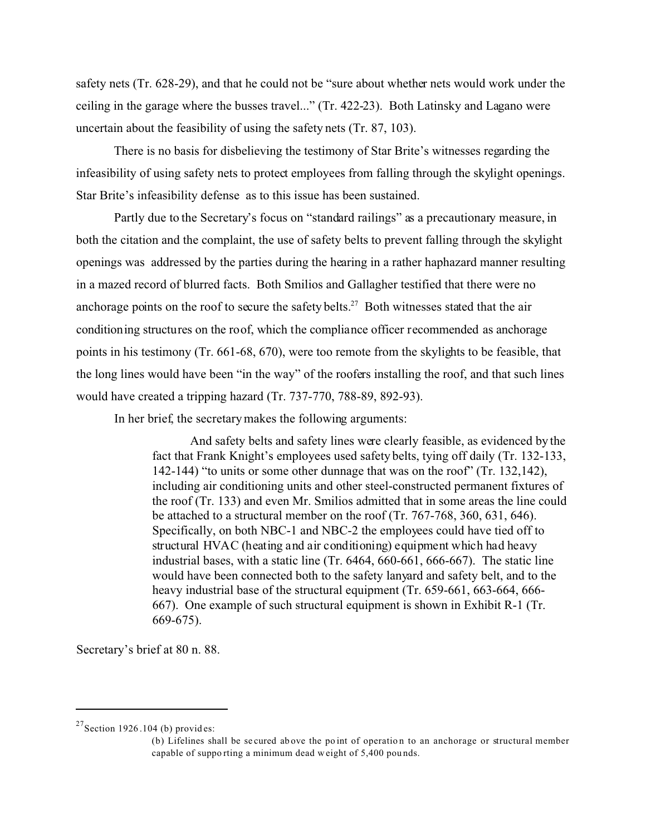safety nets (Tr. 628-29), and that he could not be "sure about whether nets would work under the ceiling in the garage where the busses travel..." (Tr. 422-23). Both Latinsky and Lagano were uncertain about the feasibility of using the safety nets (Tr. 87, 103).

There is no basis for disbelieving the testimony of Star Brite's witnesses regarding the infeasibility of using safety nets to protect employees from falling through the skylight openings. Star Brite's infeasibility defense as to this issue has been sustained.

Partly due to the Secretary's focus on "standard railings" as a precautionary measure, in both the citation and the complaint, the use of safety belts to prevent falling through the skylight openings was addressed by the parties during the hearing in a rather haphazard manner resulting in a mazed record of blurred facts. Both Smilios and Gallagher testified that there were no anchorage points on the roof to secure the safety belts.<sup>27</sup> Both witnesses stated that the air conditioning structures on the roof, which the compliance officer recommended as anchorage points in his testimony (Tr. 661-68, 670), were too remote from the skylights to be feasible, that the long lines would have been "in the way" of the roofers installing the roof, and that such lines would have created a tripping hazard (Tr. 737-770, 788-89, 892-93).

In her brief, the secretary makes the following arguments:

And safety belts and safety lines were clearly feasible, as evidenced by the fact that Frank Knight's employees used safety belts, tying off daily (Tr. 132-133, 142-144) "to units or some other dunnage that was on the roof" (Tr. 132,142), including air conditioning units and other steel-constructed permanent fixtures of the roof (Tr. 133) and even Mr. Smilios admitted that in some areas the line could be attached to a structural member on the roof (Tr. 767-768, 360, 631, 646). Specifically, on both NBC-1 and NBC-2 the employees could have tied off to structural HVAC (heating and air conditioning) equipment which had heavy industrial bases, with a static line (Tr. 6464, 660-661, 666-667). The static line would have been connected both to the safety lanyard and safety belt, and to the heavy industrial base of the structural equipment (Tr. 659-661, 663-664, 666- 667). One example of such structural equipment is shown in Exhibit R-1 (Tr. 669-675).

Secretary's brief at 80 n. 88.

 $27$ Section 1926.104 (b) provides:

<sup>(</sup>b) Lifelines shall be se cured ab ove the po int of operatio n to an anchorage or structural member capable of suppo rting a minimum dead w eight of 5,400 pou nds.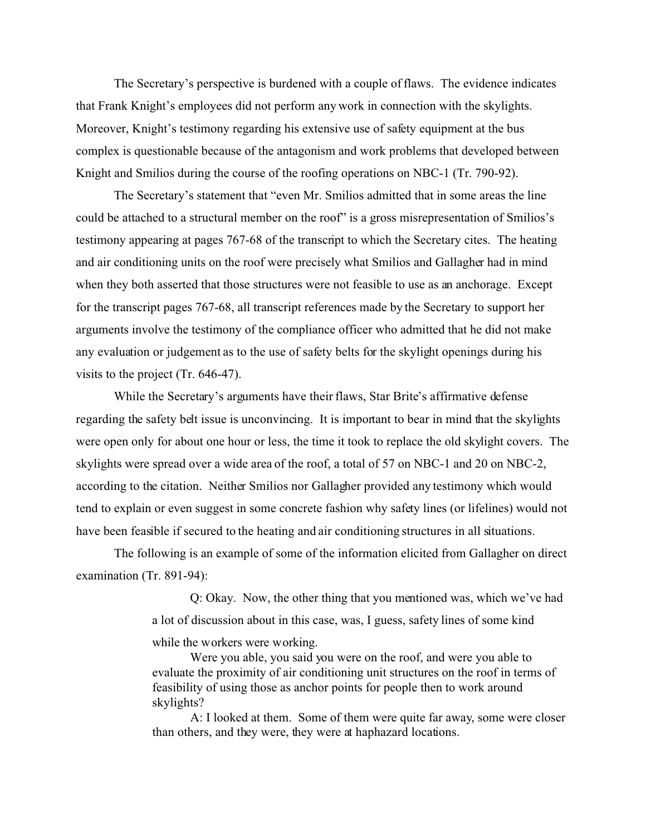The Secretary's perspective is burdened with a couple of flaws. The evidence indicates that Frank Knight's employees did not perform any work in connection with the skylights. Moreover, Knight's testimony regarding his extensive use of safety equipment at the bus complex is questionable because of the antagonism and work problems that developed between Knight and Smilios during the course of the roofing operations on NBC-1 (Tr. 790-92).

The Secretary's statement that "even Mr. Smilios admitted that in some areas the line could be attached to a structural member on the roof" is a gross misrepresentation of Smilios's testimony appearing at pages 767-68 of the transcript to which the Secretary cites. The heating and air conditioning units on the roof were precisely what Smilios and Gallagher had in mind when they both asserted that those structures were not feasible to use as an anchorage. Except for the transcript pages 767-68, all transcript references made by the Secretary to support her arguments involve the testimony of the compliance officer who admitted that he did not make any evaluation or judgement as to the use of safety belts for the skylight openings during his visits to the project (Tr. 646-47).

While the Secretary's arguments have their flaws, Star Brite's affirmative defense regarding the safety belt issue is unconvincing. It is important to bear in mind that the skylights were open only for about one hour or less, the time it took to replace the old skylight covers. The skylights were spread over a wide area of the roof, a total of 57 on NBC-1 and 20 on NBC-2, according to the citation. Neither Smilios nor Gallagher provided any testimony which would tend to explain or even suggest in some concrete fashion why safety lines (or lifelines) would not have been feasible if secured to the heating and air conditioning structures in all situations.

The following is an example of some of the information elicited from Gallagher on direct examination (Tr. 891-94):

> Q: Okay. Now, the other thing that you mentioned was, which we've had a lot of discussion about in this case, was, I guess, safety lines of some kind

while the workers were working.

Were you able, you said you were on the roof, and were you able to evaluate the proximity of air conditioning unit structures on the roof in terms of feasibility of using those as anchor points for people then to work around skylights?

A: I looked at them. Some of them were quite far away, some were closer than others, and they were, they were at haphazard locations.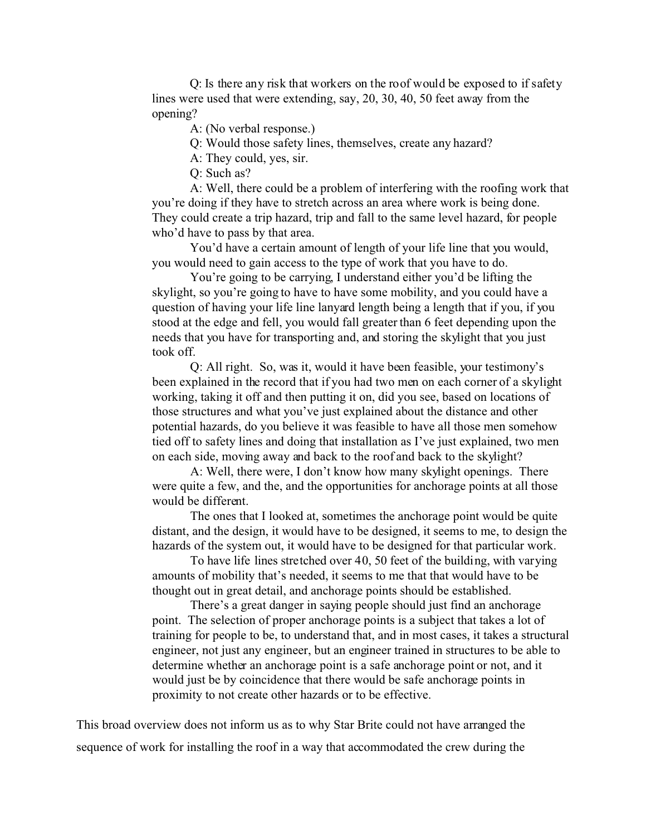Q: Is there any risk that workers on the roof would be exposed to if safety lines were used that were extending, say, 20, 30, 40, 50 feet away from the opening?

A: (No verbal response.)

Q: Would those safety lines, themselves, create any hazard?

A: They could, yes, sir.

Q: Such as?

A: Well, there could be a problem of interfering with the roofing work that you're doing if they have to stretch across an area where work is being done. They could create a trip hazard, trip and fall to the same level hazard, for people who'd have to pass by that area.

You'd have a certain amount of length of your life line that you would, you would need to gain access to the type of work that you have to do.

You're going to be carrying, I understand either you'd be lifting the skylight, so you're going to have to have some mobility, and you could have a question of having your life line lanyard length being a length that if you, if you stood at the edge and fell, you would fall greater than 6 feet depending upon the needs that you have for transporting and, and storing the skylight that you just took off.

Q: All right. So, was it, would it have been feasible, your testimony's been explained in the record that if you had two men on each corner of a skylight working, taking it off and then putting it on, did you see, based on locations of those structures and what you've just explained about the distance and other potential hazards, do you believe it was feasible to have all those men somehow tied off to safety lines and doing that installation as I've just explained, two men on each side, moving away and back to the roof and back to the skylight?

A: Well, there were, I don't know how many skylight openings. There were quite a few, and the, and the opportunities for anchorage points at all those would be different.

The ones that I looked at, sometimes the anchorage point would be quite distant, and the design, it would have to be designed, it seems to me, to design the hazards of the system out, it would have to be designed for that particular work.

To have life lines stretched over 40, 50 feet of the building, with varying amounts of mobility that's needed, it seems to me that that would have to be thought out in great detail, and anchorage points should be established.

There's a great danger in saying people should just find an anchorage point. The selection of proper anchorage points is a subject that takes a lot of training for people to be, to understand that, and in most cases, it takes a structural engineer, not just any engineer, but an engineer trained in structures to be able to determine whether an anchorage point is a safe anchorage point or not, and it would just be by coincidence that there would be safe anchorage points in proximity to not create other hazards or to be effective.

This broad overview does not inform us as to why Star Brite could not have arranged the sequence of work for installing the roof in a way that accommodated the crew during the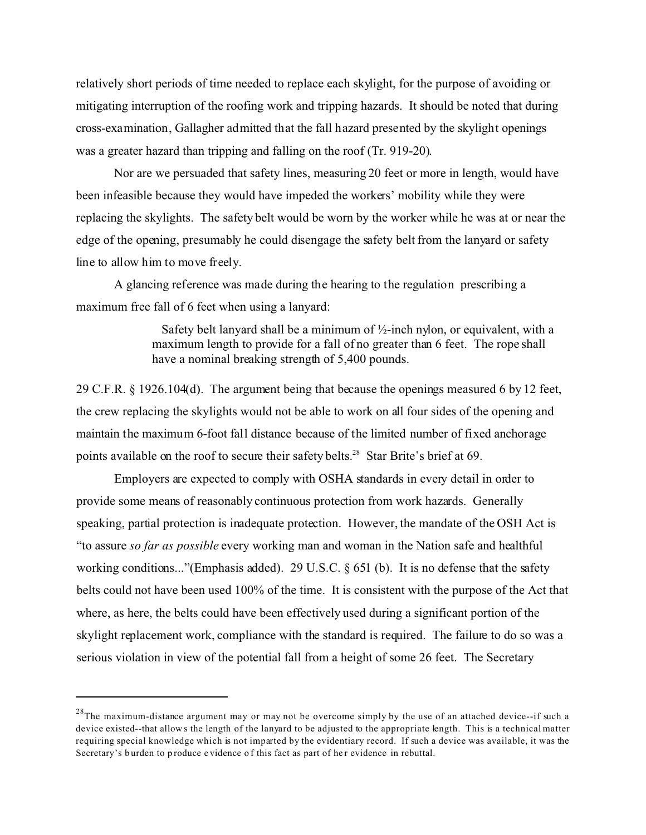relatively short periods of time needed to replace each skylight, for the purpose of avoiding or mitigating interruption of the roofing work and tripping hazards. It should be noted that during cross-examination, Gallagher admitted that the fall hazard presented by the skylight openings was a greater hazard than tripping and falling on the roof (Tr. 919-20).

Nor are we persuaded that safety lines, measuring 20 feet or more in length, would have been infeasible because they would have impeded the workers' mobility while they were replacing the skylights. The safety belt would be worn by the worker while he was at or near the edge of the opening, presumably he could disengage the safety belt from the lanyard or safety line to allow him to move freely.

A glancing reference was made during the hearing to the regulation prescribing a maximum free fall of 6 feet when using a lanyard:

> Safety belt lanyard shall be a minimum of  $\frac{1}{2}$ -inch nylon, or equivalent, with a maximum length to provide for a fall of no greater than 6 feet. The rope shall have a nominal breaking strength of 5,400 pounds.

29 C.F.R. § 1926.104(d). The argument being that because the openings measured 6 by 12 feet, the crew replacing the skylights would not be able to work on all four sides of the opening and maintain the maximum 6-foot fall distance because of the limited number of fixed anchorage points available on the roof to secure their safety belts.<sup>28</sup> Star Brite's brief at 69.

Employers are expected to comply with OSHA standards in every detail in order to provide some means of reasonably continuous protection from work hazards. Generally speaking, partial protection is inadequate protection. However, the mandate of the OSH Act is "to assure *so far as possible* every working man and woman in the Nation safe and healthful working conditions..."(Emphasis added). 29 U.S.C. § 651 (b). It is no defense that the safety belts could not have been used 100% of the time. It is consistent with the purpose of the Act that where, as here, the belts could have been effectively used during a significant portion of the skylight replacement work, compliance with the standard is required. The failure to do so was a serious violation in view of the potential fall from a height of some 26 feet. The Secretary

 $^{28}$ The maximum-distance argument may or may not be overcome simply by the use of an attached device--if such a device existed--that allow s the length of the lanyard to be adjusted to the appropriate length. This is a technical matter requiring special knowledge which is not imparted by the evidentiary record. If such a device was available, it was the Secretary's burden to produce e vidence of this fact as part of her evidence in rebuttal.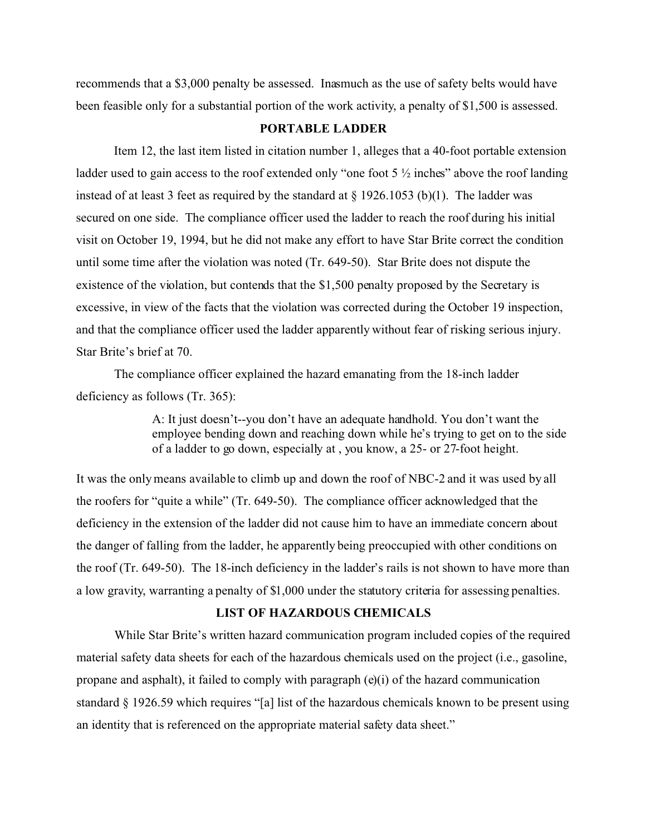recommends that a \$3,000 penalty be assessed. Inasmuch as the use of safety belts would have been feasible only for a substantial portion of the work activity, a penalty of \$1,500 is assessed.

## **PORTABLE LADDER**

Item 12, the last item listed in citation number 1, alleges that a 40-foot portable extension ladder used to gain access to the roof extended only "one foot 5  $\frac{1}{2}$  inches" above the roof landing instead of at least 3 feet as required by the standard at  $\S$  1926.1053 (b)(1). The ladder was secured on one side. The compliance officer used the ladder to reach the roof during his initial visit on October 19, 1994, but he did not make any effort to have Star Brite correct the condition until some time after the violation was noted (Tr. 649-50). Star Brite does not dispute the existence of the violation, but contends that the \$1,500 penalty proposed by the Secretary is excessive, in view of the facts that the violation was corrected during the October 19 inspection, and that the compliance officer used the ladder apparently without fear of risking serious injury. Star Brite's brief at 70.

The compliance officer explained the hazard emanating from the 18-inch ladder deficiency as follows (Tr. 365):

> A: It just doesn't--you don't have an adequate handhold. You don't want the employee bending down and reaching down while he's trying to get on to the side of a ladder to go down, especially at , you know, a 25- or 27-foot height.

It was the only means available to climb up and down the roof of NBC-2 and it was used by all the roofers for "quite a while" (Tr. 649-50). The compliance officer acknowledged that the deficiency in the extension of the ladder did not cause him to have an immediate concern about the danger of falling from the ladder, he apparently being preoccupied with other conditions on the roof (Tr. 649-50). The 18-inch deficiency in the ladder's rails is not shown to have more than a low gravity, warranting a penalty of \$1,000 under the statutory criteria for assessing penalties.

#### **LIST OF HAZARDOUS CHEMICALS**

While Star Brite's written hazard communication program included copies of the required material safety data sheets for each of the hazardous chemicals used on the project (i.e., gasoline, propane and asphalt), it failed to comply with paragraph  $(e)(i)$  of the hazard communication standard § 1926.59 which requires "[a] list of the hazardous chemicals known to be present using an identity that is referenced on the appropriate material safety data sheet."